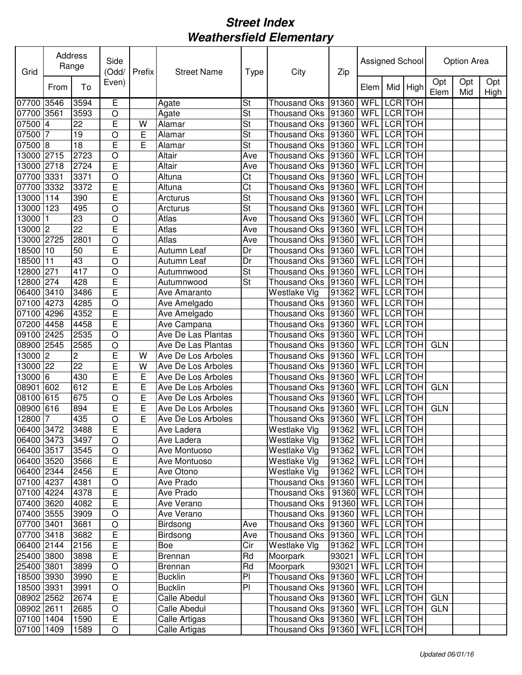| Opt<br>Opt<br>Opt<br>Even)<br>To<br>Mid<br>High<br>From<br>Elem<br>Elem<br>Mid<br>High<br>E<br>07700 3546<br>3594<br><b>WFL</b><br><b>LCR</b> TOH<br>St<br><b>Thousand Oks</b><br>91360<br>Agate<br>$\overline{\mathsf{St}}$<br>07700 3561<br>3593<br>LCR TOH<br>O<br>91360<br><b>WFL</b><br>Agate<br><b>Thousand Oks</b><br>$\overline{22}$<br>E<br>$\overline{\mathsf{St}}$<br><b>LCR</b> TOH<br>07500 4<br>WFL<br><b>Thousand Oks</b><br>91360<br>W<br>Alamar<br>$\overline{\mathsf{St}}$<br><b>TOH</b><br>07500<br>19<br>E<br>91360<br>WFL<br><b>LCR</b><br>7<br>$\circ$<br>Alamar<br><b>Thousand Oks</b><br>$\overline{18}$<br>E<br><b>TOH</b><br>07500 8<br>E<br>St<br>91360<br>WFL<br><b>LCR</b><br>Alamar<br><b>Thousand Oks</b><br><b>TOH</b><br>13000 2715<br>2723<br>O<br>Altair<br>91360<br>WFL<br><b>LCR</b><br><b>Thousand Oks</b><br>Ave<br>E<br><b>LCR</b><br>2718<br>2724<br>91360<br>WFL<br><b>TOH</b><br>13000<br>Altair<br><b>Thousand Oks</b><br>Ave<br>07700<br>3331<br>3371<br>O<br>91360<br>WFL<br><b>LCR</b><br><b>TOH</b><br>Altuna<br>Ct<br><b>Thousand Oks</b><br>E<br>WFL<br><b>LCR</b><br><b>TOH</b><br>07700 3332<br>3372<br>Altuna<br>Ct<br><b>Thousand Oks</b><br>91360<br>E<br>13000<br>390<br>St<br>WFL<br>LCR TOH<br>114<br>Arcturus<br><b>Thousand Oks</b><br>91360<br>13000<br>123<br>WFL<br>LCR TOH<br>495<br>O<br>Arcturus<br>St<br><b>Thousand Oks</b><br>91360<br>13000<br>23<br>91360<br>WFL<br><b>LCR</b><br><b>TOH</b><br>$\circ$<br>Atlas<br><b>Thousand Oks</b><br>Ave<br>22<br>13000 2<br>E<br>Atlas<br>WFL<br><b>LCR</b><br><b>TOH</b><br>Ave<br>91360<br><b>Thousand Oks</b><br>13000 2725<br>O<br>Atlas<br><b>LCR</b><br><b>TOH</b><br>2801<br>Ave<br><b>Thousand Oks</b><br>91360<br>WFL<br>E<br><b>LCR</b><br>18500<br>50<br>Dr<br>WFL<br><b>TOH</b><br>110<br>91360<br>Autumn Leaf<br><b>Thousand Oks</b><br>43<br>18500<br>11<br>O<br>91360<br><b>LCR</b><br><b>TOH</b><br>Dr<br>WFL<br>Autumn Leaf<br><b>Thousand Oks</b><br>St<br>271<br>417<br>91360<br>WFL<br><b>LCR</b><br><b>TOH</b><br>12800<br>O<br>Autumnwood<br><b>Thousand Oks</b><br>E<br>274<br>428<br>St<br><b>LCR</b><br><b>TOH</b><br>12800<br>91360<br>WFL<br><b>Thousand Oks</b><br>Autumnwood<br>Ē<br>06400 3410<br>3486<br>WFL<br><b>LCR</b><br><b>TOH</b><br>Westlake Vlg<br>91362<br>Ave Amaranto<br>4285<br>$\circ$<br>WFL<br><b>LCR</b><br><b>TOH</b><br>07100<br>4273<br><b>Thousand Oks</b><br>91360<br>Ave Amelgado<br>E<br>4352<br>WFL<br><b>LCR</b><br><b>TOH</b><br>07100<br>4296<br>Ave Amelgado<br><b>Thousand Oks</b><br>91360<br>E<br>WFL<br><b>LCR</b><br><b>TOH</b><br>07200<br>4458<br>4458<br>91360<br>Ave Campana<br>Thousand Oks<br>O<br>WFL<br><b>LCR</b><br><b>TOH</b><br>09100<br>2425<br>2535<br>Ave De Las Plantas<br>91360<br>Thousand Oks<br>2545<br>O<br><b>LCR</b><br>08900<br>2585<br>Ave De Las Plantas<br><b>Thousand Oks</b><br>91360<br>WFL<br><b>TOH</b><br><b>GLN</b><br>E<br>2<br>WFL<br><b>LCR</b><br>13000<br>W<br><b>Thousand Oks</b><br>91360<br><b>TOH</b><br>2<br>Ave De Los Arboles<br>E<br>22<br>13000<br><b>LCR</b><br>22<br>W<br>Ave De Los Arboles<br><b>Thousand Oks</b><br>91360<br>WFL<br><b>TOH</b><br>E<br>430<br>E<br>13000<br><b>Thousand Oks</b><br>91360<br>WFL<br><b>LCR</b><br><b>TOH</b><br>$\overline{6}$<br>Ave De Los Arboles<br>08901<br>612<br>WFL<br>LCR TOH<br>602<br>E<br>E<br>Ave De Los Arboles<br><b>Thousand Oks</b><br>91360<br><b>GLN</b><br>91360<br>WFL<br><b>LCR</b><br><b>TOH</b><br>08100<br>615<br>675<br>$\circ$<br>E<br>Ave De Los Arboles<br><b>Thousand Oks</b><br>E<br>E<br>91360<br><b>LCR</b><br><b>TOH</b><br>08900<br>616<br>894<br><b>Thousand Oks</b><br>WFL<br><b>GLN</b><br>Ave De Los Arboles<br>E<br>WFL LCR TOH<br>12800<br>435<br>O<br>91360<br><b>Thousand Oks</b><br>7<br>Ave De Los Arboles<br>06400 3472<br>E<br>91362 WFL LCR TOH<br>3488<br>Ave Ladera<br><b>Westlake Vlg</b><br>91362   WFL LCRTOH<br>06400 3473<br>3497<br>$\circ$<br>Westlake Vlg<br>Ave Ladera<br>06400 3517<br>91362   WFL   LCR   TOH<br>3545<br>Westlake Vlg<br>$\circ$<br>Ave Montuoso<br>E<br>91362   WFL   LCR   TOH<br>06400 3520<br>3566<br>Ave Montuoso<br>Westlake Vlg<br>E<br>Westlake Vlg<br>91362   WFL LCR TOH<br>06400 2344<br>2456<br>Ave Otono<br>$ 91360 $ WFL LCR TOH<br>07100 4237<br>4381<br>$\circ$<br>Ave Prado<br>Thousand Oks<br>E<br><b>Thousand Oks</b><br>91360 WFL LCR TOH<br>07100 4224<br>4378<br>Ave Prado<br>$\overline{E}$<br>Thousand Oks   91360   WFL   LCR   TOH<br>07400 3620<br>4082<br>Ave Verano<br>$\circ$<br>WFL LCR TOH<br>07400 3555<br>3909<br>Ave Verano<br>Thousand Oks 91360<br><b>Thousand Oks</b><br>07700 3401<br>3681<br>$\circ$<br>Birdsong<br>91360<br>WFL LCR TOH<br>Ave<br>$\overline{E}$<br>Thousand Oks  91360   WFL   LCR   TOH<br>07700 3418<br>3682<br>Birdsong<br>Ave<br>$\overline{\mathsf{E}}$<br>Westlake Vlg<br>06400 2144<br>2156<br>Cir<br>91362   WFL LCR TOH<br>Boe<br>$\overline{\mathsf{E}}$<br>93021<br>25400 3800<br>3898<br>Rd<br>Moorpark<br>WFL LCR TOH<br>Brennan<br>93021<br>WFL LCR TOH<br>25400 3801<br>3899<br>$\circ$<br>Rd<br>Moorpark<br>Brennan<br>E<br>PI<br>Thousand Oks<br>WFL LCR TOH<br>18500 3930<br>3990<br><b>Bucklin</b><br>91360<br>$\bigcirc$<br><b>Bucklin</b><br>PI<br>WFL LCR TOH<br>18500 3931<br>3991<br>91360<br><b>Thousand Oks</b><br>$\overline{E}$<br>WFL LCR TOH<br><b>GLN</b><br>08902 2562<br>2674<br>Calle Abedul<br>Thousand Oks   91360<br>$\circ$<br>91360<br>WFL LCR TOH<br><b>GLN</b><br>08902 2611<br>2685<br>Calle Abedul<br><b>Thousand Oks</b><br>$\overline{E}$<br>WFL LCR TOH<br>Thousand Oks 91360<br>07100 1404<br>1590<br>Calle Artigas<br>$\bigcirc$<br>1589<br>Thousand Oks 91360<br>WFL LCR TOH<br>07100 1409<br>Calle Artigas | Grid | Address<br>Range | Side<br>(Odd/ | Prefix | <b>Street Name</b> | <b>Type</b> | City | Zip | Assigned School |  | Option Area |  |
|------------------------------------------------------------------------------------------------------------------------------------------------------------------------------------------------------------------------------------------------------------------------------------------------------------------------------------------------------------------------------------------------------------------------------------------------------------------------------------------------------------------------------------------------------------------------------------------------------------------------------------------------------------------------------------------------------------------------------------------------------------------------------------------------------------------------------------------------------------------------------------------------------------------------------------------------------------------------------------------------------------------------------------------------------------------------------------------------------------------------------------------------------------------------------------------------------------------------------------------------------------------------------------------------------------------------------------------------------------------------------------------------------------------------------------------------------------------------------------------------------------------------------------------------------------------------------------------------------------------------------------------------------------------------------------------------------------------------------------------------------------------------------------------------------------------------------------------------------------------------------------------------------------------------------------------------------------------------------------------------------------------------------------------------------------------------------------------------------------------------------------------------------------------------------------------------------------------------------------------------------------------------------------------------------------------------------------------------------------------------------------------------------------------------------------------------------------------------------------------------------------------------------------------------------------------------------------------------------------------------------------------------------------------------------------------------------------------------------------------------------------------------------------------------------------------------------------------------------------------------------------------------------------------------------------------------------------------------------------------------------------------------------------------------------------------------------------------------------------------------------------------------------------------------------------------------------------------------------------------------------------------------------------------------------------------------------------------------------------------------------------------------------------------------------------------------------------------------------------------------------------------------------------------------------------------------------------------------------------------------------------------------------------------------------------------------------------------------------------------------------------------------------------------------------------------------------------------------------------------------------------------------------------------------------------------------------------------------------------------------------------------------------------------------------------------------------------------------------------------------------------------------------------------------------------------------------------------------------------------------------------------------------------------------------------------------------------------------------------------------------------------------------------------------------------------------------------------------------------------------------------------------------------------------------------------------------------------------------------------------------------------------------------------------------------------------------------------------------------------------------------------------------------------------------------------------------------------------------------------------------------------------------------------------------------------------------------------------------------------------------------------------------------------------------------------------------------------------------------------------------------------------------------------------------------------------------------------------------------------------------------------------------------------------------------------------------------------------------------------------------------------------------------------------------------------------------------------------------------------------------------------------------------------------------------------------------------------------------------------------------------------------------------------------------------------------------------------------------------------------------------------------|------|------------------|---------------|--------|--------------------|-------------|------|-----|-----------------|--|-------------|--|
|                                                                                                                                                                                                                                                                                                                                                                                                                                                                                                                                                                                                                                                                                                                                                                                                                                                                                                                                                                                                                                                                                                                                                                                                                                                                                                                                                                                                                                                                                                                                                                                                                                                                                                                                                                                                                                                                                                                                                                                                                                                                                                                                                                                                                                                                                                                                                                                                                                                                                                                                                                                                                                                                                                                                                                                                                                                                                                                                                                                                                                                                                                                                                                                                                                                                                                                                                                                                                                                                                                                                                                                                                                                                                                                                                                                                                                                                                                                                                                                                                                                                                                                                                                                                                                                                                                                                                                                                                                                                                                                                                                                                                                                                                                                                                                                                                                                                                                                                                                                                                                                                                                                                                                                                                                                                                                                                                                                                                                                                                                                                                                                                                                                                                                                                                                        |      |                  |               |        |                    |             |      |     |                 |  |             |  |
|                                                                                                                                                                                                                                                                                                                                                                                                                                                                                                                                                                                                                                                                                                                                                                                                                                                                                                                                                                                                                                                                                                                                                                                                                                                                                                                                                                                                                                                                                                                                                                                                                                                                                                                                                                                                                                                                                                                                                                                                                                                                                                                                                                                                                                                                                                                                                                                                                                                                                                                                                                                                                                                                                                                                                                                                                                                                                                                                                                                                                                                                                                                                                                                                                                                                                                                                                                                                                                                                                                                                                                                                                                                                                                                                                                                                                                                                                                                                                                                                                                                                                                                                                                                                                                                                                                                                                                                                                                                                                                                                                                                                                                                                                                                                                                                                                                                                                                                                                                                                                                                                                                                                                                                                                                                                                                                                                                                                                                                                                                                                                                                                                                                                                                                                                                        |      |                  |               |        |                    |             |      |     |                 |  |             |  |
|                                                                                                                                                                                                                                                                                                                                                                                                                                                                                                                                                                                                                                                                                                                                                                                                                                                                                                                                                                                                                                                                                                                                                                                                                                                                                                                                                                                                                                                                                                                                                                                                                                                                                                                                                                                                                                                                                                                                                                                                                                                                                                                                                                                                                                                                                                                                                                                                                                                                                                                                                                                                                                                                                                                                                                                                                                                                                                                                                                                                                                                                                                                                                                                                                                                                                                                                                                                                                                                                                                                                                                                                                                                                                                                                                                                                                                                                                                                                                                                                                                                                                                                                                                                                                                                                                                                                                                                                                                                                                                                                                                                                                                                                                                                                                                                                                                                                                                                                                                                                                                                                                                                                                                                                                                                                                                                                                                                                                                                                                                                                                                                                                                                                                                                                                                        |      |                  |               |        |                    |             |      |     |                 |  |             |  |
|                                                                                                                                                                                                                                                                                                                                                                                                                                                                                                                                                                                                                                                                                                                                                                                                                                                                                                                                                                                                                                                                                                                                                                                                                                                                                                                                                                                                                                                                                                                                                                                                                                                                                                                                                                                                                                                                                                                                                                                                                                                                                                                                                                                                                                                                                                                                                                                                                                                                                                                                                                                                                                                                                                                                                                                                                                                                                                                                                                                                                                                                                                                                                                                                                                                                                                                                                                                                                                                                                                                                                                                                                                                                                                                                                                                                                                                                                                                                                                                                                                                                                                                                                                                                                                                                                                                                                                                                                                                                                                                                                                                                                                                                                                                                                                                                                                                                                                                                                                                                                                                                                                                                                                                                                                                                                                                                                                                                                                                                                                                                                                                                                                                                                                                                                                        |      |                  |               |        |                    |             |      |     |                 |  |             |  |
|                                                                                                                                                                                                                                                                                                                                                                                                                                                                                                                                                                                                                                                                                                                                                                                                                                                                                                                                                                                                                                                                                                                                                                                                                                                                                                                                                                                                                                                                                                                                                                                                                                                                                                                                                                                                                                                                                                                                                                                                                                                                                                                                                                                                                                                                                                                                                                                                                                                                                                                                                                                                                                                                                                                                                                                                                                                                                                                                                                                                                                                                                                                                                                                                                                                                                                                                                                                                                                                                                                                                                                                                                                                                                                                                                                                                                                                                                                                                                                                                                                                                                                                                                                                                                                                                                                                                                                                                                                                                                                                                                                                                                                                                                                                                                                                                                                                                                                                                                                                                                                                                                                                                                                                                                                                                                                                                                                                                                                                                                                                                                                                                                                                                                                                                                                        |      |                  |               |        |                    |             |      |     |                 |  |             |  |
|                                                                                                                                                                                                                                                                                                                                                                                                                                                                                                                                                                                                                                                                                                                                                                                                                                                                                                                                                                                                                                                                                                                                                                                                                                                                                                                                                                                                                                                                                                                                                                                                                                                                                                                                                                                                                                                                                                                                                                                                                                                                                                                                                                                                                                                                                                                                                                                                                                                                                                                                                                                                                                                                                                                                                                                                                                                                                                                                                                                                                                                                                                                                                                                                                                                                                                                                                                                                                                                                                                                                                                                                                                                                                                                                                                                                                                                                                                                                                                                                                                                                                                                                                                                                                                                                                                                                                                                                                                                                                                                                                                                                                                                                                                                                                                                                                                                                                                                                                                                                                                                                                                                                                                                                                                                                                                                                                                                                                                                                                                                                                                                                                                                                                                                                                                        |      |                  |               |        |                    |             |      |     |                 |  |             |  |
|                                                                                                                                                                                                                                                                                                                                                                                                                                                                                                                                                                                                                                                                                                                                                                                                                                                                                                                                                                                                                                                                                                                                                                                                                                                                                                                                                                                                                                                                                                                                                                                                                                                                                                                                                                                                                                                                                                                                                                                                                                                                                                                                                                                                                                                                                                                                                                                                                                                                                                                                                                                                                                                                                                                                                                                                                                                                                                                                                                                                                                                                                                                                                                                                                                                                                                                                                                                                                                                                                                                                                                                                                                                                                                                                                                                                                                                                                                                                                                                                                                                                                                                                                                                                                                                                                                                                                                                                                                                                                                                                                                                                                                                                                                                                                                                                                                                                                                                                                                                                                                                                                                                                                                                                                                                                                                                                                                                                                                                                                                                                                                                                                                                                                                                                                                        |      |                  |               |        |                    |             |      |     |                 |  |             |  |
|                                                                                                                                                                                                                                                                                                                                                                                                                                                                                                                                                                                                                                                                                                                                                                                                                                                                                                                                                                                                                                                                                                                                                                                                                                                                                                                                                                                                                                                                                                                                                                                                                                                                                                                                                                                                                                                                                                                                                                                                                                                                                                                                                                                                                                                                                                                                                                                                                                                                                                                                                                                                                                                                                                                                                                                                                                                                                                                                                                                                                                                                                                                                                                                                                                                                                                                                                                                                                                                                                                                                                                                                                                                                                                                                                                                                                                                                                                                                                                                                                                                                                                                                                                                                                                                                                                                                                                                                                                                                                                                                                                                                                                                                                                                                                                                                                                                                                                                                                                                                                                                                                                                                                                                                                                                                                                                                                                                                                                                                                                                                                                                                                                                                                                                                                                        |      |                  |               |        |                    |             |      |     |                 |  |             |  |
|                                                                                                                                                                                                                                                                                                                                                                                                                                                                                                                                                                                                                                                                                                                                                                                                                                                                                                                                                                                                                                                                                                                                                                                                                                                                                                                                                                                                                                                                                                                                                                                                                                                                                                                                                                                                                                                                                                                                                                                                                                                                                                                                                                                                                                                                                                                                                                                                                                                                                                                                                                                                                                                                                                                                                                                                                                                                                                                                                                                                                                                                                                                                                                                                                                                                                                                                                                                                                                                                                                                                                                                                                                                                                                                                                                                                                                                                                                                                                                                                                                                                                                                                                                                                                                                                                                                                                                                                                                                                                                                                                                                                                                                                                                                                                                                                                                                                                                                                                                                                                                                                                                                                                                                                                                                                                                                                                                                                                                                                                                                                                                                                                                                                                                                                                                        |      |                  |               |        |                    |             |      |     |                 |  |             |  |
|                                                                                                                                                                                                                                                                                                                                                                                                                                                                                                                                                                                                                                                                                                                                                                                                                                                                                                                                                                                                                                                                                                                                                                                                                                                                                                                                                                                                                                                                                                                                                                                                                                                                                                                                                                                                                                                                                                                                                                                                                                                                                                                                                                                                                                                                                                                                                                                                                                                                                                                                                                                                                                                                                                                                                                                                                                                                                                                                                                                                                                                                                                                                                                                                                                                                                                                                                                                                                                                                                                                                                                                                                                                                                                                                                                                                                                                                                                                                                                                                                                                                                                                                                                                                                                                                                                                                                                                                                                                                                                                                                                                                                                                                                                                                                                                                                                                                                                                                                                                                                                                                                                                                                                                                                                                                                                                                                                                                                                                                                                                                                                                                                                                                                                                                                                        |      |                  |               |        |                    |             |      |     |                 |  |             |  |
|                                                                                                                                                                                                                                                                                                                                                                                                                                                                                                                                                                                                                                                                                                                                                                                                                                                                                                                                                                                                                                                                                                                                                                                                                                                                                                                                                                                                                                                                                                                                                                                                                                                                                                                                                                                                                                                                                                                                                                                                                                                                                                                                                                                                                                                                                                                                                                                                                                                                                                                                                                                                                                                                                                                                                                                                                                                                                                                                                                                                                                                                                                                                                                                                                                                                                                                                                                                                                                                                                                                                                                                                                                                                                                                                                                                                                                                                                                                                                                                                                                                                                                                                                                                                                                                                                                                                                                                                                                                                                                                                                                                                                                                                                                                                                                                                                                                                                                                                                                                                                                                                                                                                                                                                                                                                                                                                                                                                                                                                                                                                                                                                                                                                                                                                                                        |      |                  |               |        |                    |             |      |     |                 |  |             |  |
|                                                                                                                                                                                                                                                                                                                                                                                                                                                                                                                                                                                                                                                                                                                                                                                                                                                                                                                                                                                                                                                                                                                                                                                                                                                                                                                                                                                                                                                                                                                                                                                                                                                                                                                                                                                                                                                                                                                                                                                                                                                                                                                                                                                                                                                                                                                                                                                                                                                                                                                                                                                                                                                                                                                                                                                                                                                                                                                                                                                                                                                                                                                                                                                                                                                                                                                                                                                                                                                                                                                                                                                                                                                                                                                                                                                                                                                                                                                                                                                                                                                                                                                                                                                                                                                                                                                                                                                                                                                                                                                                                                                                                                                                                                                                                                                                                                                                                                                                                                                                                                                                                                                                                                                                                                                                                                                                                                                                                                                                                                                                                                                                                                                                                                                                                                        |      |                  |               |        |                    |             |      |     |                 |  |             |  |
|                                                                                                                                                                                                                                                                                                                                                                                                                                                                                                                                                                                                                                                                                                                                                                                                                                                                                                                                                                                                                                                                                                                                                                                                                                                                                                                                                                                                                                                                                                                                                                                                                                                                                                                                                                                                                                                                                                                                                                                                                                                                                                                                                                                                                                                                                                                                                                                                                                                                                                                                                                                                                                                                                                                                                                                                                                                                                                                                                                                                                                                                                                                                                                                                                                                                                                                                                                                                                                                                                                                                                                                                                                                                                                                                                                                                                                                                                                                                                                                                                                                                                                                                                                                                                                                                                                                                                                                                                                                                                                                                                                                                                                                                                                                                                                                                                                                                                                                                                                                                                                                                                                                                                                                                                                                                                                                                                                                                                                                                                                                                                                                                                                                                                                                                                                        |      |                  |               |        |                    |             |      |     |                 |  |             |  |
|                                                                                                                                                                                                                                                                                                                                                                                                                                                                                                                                                                                                                                                                                                                                                                                                                                                                                                                                                                                                                                                                                                                                                                                                                                                                                                                                                                                                                                                                                                                                                                                                                                                                                                                                                                                                                                                                                                                                                                                                                                                                                                                                                                                                                                                                                                                                                                                                                                                                                                                                                                                                                                                                                                                                                                                                                                                                                                                                                                                                                                                                                                                                                                                                                                                                                                                                                                                                                                                                                                                                                                                                                                                                                                                                                                                                                                                                                                                                                                                                                                                                                                                                                                                                                                                                                                                                                                                                                                                                                                                                                                                                                                                                                                                                                                                                                                                                                                                                                                                                                                                                                                                                                                                                                                                                                                                                                                                                                                                                                                                                                                                                                                                                                                                                                                        |      |                  |               |        |                    |             |      |     |                 |  |             |  |
|                                                                                                                                                                                                                                                                                                                                                                                                                                                                                                                                                                                                                                                                                                                                                                                                                                                                                                                                                                                                                                                                                                                                                                                                                                                                                                                                                                                                                                                                                                                                                                                                                                                                                                                                                                                                                                                                                                                                                                                                                                                                                                                                                                                                                                                                                                                                                                                                                                                                                                                                                                                                                                                                                                                                                                                                                                                                                                                                                                                                                                                                                                                                                                                                                                                                                                                                                                                                                                                                                                                                                                                                                                                                                                                                                                                                                                                                                                                                                                                                                                                                                                                                                                                                                                                                                                                                                                                                                                                                                                                                                                                                                                                                                                                                                                                                                                                                                                                                                                                                                                                                                                                                                                                                                                                                                                                                                                                                                                                                                                                                                                                                                                                                                                                                                                        |      |                  |               |        |                    |             |      |     |                 |  |             |  |
|                                                                                                                                                                                                                                                                                                                                                                                                                                                                                                                                                                                                                                                                                                                                                                                                                                                                                                                                                                                                                                                                                                                                                                                                                                                                                                                                                                                                                                                                                                                                                                                                                                                                                                                                                                                                                                                                                                                                                                                                                                                                                                                                                                                                                                                                                                                                                                                                                                                                                                                                                                                                                                                                                                                                                                                                                                                                                                                                                                                                                                                                                                                                                                                                                                                                                                                                                                                                                                                                                                                                                                                                                                                                                                                                                                                                                                                                                                                                                                                                                                                                                                                                                                                                                                                                                                                                                                                                                                                                                                                                                                                                                                                                                                                                                                                                                                                                                                                                                                                                                                                                                                                                                                                                                                                                                                                                                                                                                                                                                                                                                                                                                                                                                                                                                                        |      |                  |               |        |                    |             |      |     |                 |  |             |  |
|                                                                                                                                                                                                                                                                                                                                                                                                                                                                                                                                                                                                                                                                                                                                                                                                                                                                                                                                                                                                                                                                                                                                                                                                                                                                                                                                                                                                                                                                                                                                                                                                                                                                                                                                                                                                                                                                                                                                                                                                                                                                                                                                                                                                                                                                                                                                                                                                                                                                                                                                                                                                                                                                                                                                                                                                                                                                                                                                                                                                                                                                                                                                                                                                                                                                                                                                                                                                                                                                                                                                                                                                                                                                                                                                                                                                                                                                                                                                                                                                                                                                                                                                                                                                                                                                                                                                                                                                                                                                                                                                                                                                                                                                                                                                                                                                                                                                                                                                                                                                                                                                                                                                                                                                                                                                                                                                                                                                                                                                                                                                                                                                                                                                                                                                                                        |      |                  |               |        |                    |             |      |     |                 |  |             |  |
|                                                                                                                                                                                                                                                                                                                                                                                                                                                                                                                                                                                                                                                                                                                                                                                                                                                                                                                                                                                                                                                                                                                                                                                                                                                                                                                                                                                                                                                                                                                                                                                                                                                                                                                                                                                                                                                                                                                                                                                                                                                                                                                                                                                                                                                                                                                                                                                                                                                                                                                                                                                                                                                                                                                                                                                                                                                                                                                                                                                                                                                                                                                                                                                                                                                                                                                                                                                                                                                                                                                                                                                                                                                                                                                                                                                                                                                                                                                                                                                                                                                                                                                                                                                                                                                                                                                                                                                                                                                                                                                                                                                                                                                                                                                                                                                                                                                                                                                                                                                                                                                                                                                                                                                                                                                                                                                                                                                                                                                                                                                                                                                                                                                                                                                                                                        |      |                  |               |        |                    |             |      |     |                 |  |             |  |
|                                                                                                                                                                                                                                                                                                                                                                                                                                                                                                                                                                                                                                                                                                                                                                                                                                                                                                                                                                                                                                                                                                                                                                                                                                                                                                                                                                                                                                                                                                                                                                                                                                                                                                                                                                                                                                                                                                                                                                                                                                                                                                                                                                                                                                                                                                                                                                                                                                                                                                                                                                                                                                                                                                                                                                                                                                                                                                                                                                                                                                                                                                                                                                                                                                                                                                                                                                                                                                                                                                                                                                                                                                                                                                                                                                                                                                                                                                                                                                                                                                                                                                                                                                                                                                                                                                                                                                                                                                                                                                                                                                                                                                                                                                                                                                                                                                                                                                                                                                                                                                                                                                                                                                                                                                                                                                                                                                                                                                                                                                                                                                                                                                                                                                                                                                        |      |                  |               |        |                    |             |      |     |                 |  |             |  |
|                                                                                                                                                                                                                                                                                                                                                                                                                                                                                                                                                                                                                                                                                                                                                                                                                                                                                                                                                                                                                                                                                                                                                                                                                                                                                                                                                                                                                                                                                                                                                                                                                                                                                                                                                                                                                                                                                                                                                                                                                                                                                                                                                                                                                                                                                                                                                                                                                                                                                                                                                                                                                                                                                                                                                                                                                                                                                                                                                                                                                                                                                                                                                                                                                                                                                                                                                                                                                                                                                                                                                                                                                                                                                                                                                                                                                                                                                                                                                                                                                                                                                                                                                                                                                                                                                                                                                                                                                                                                                                                                                                                                                                                                                                                                                                                                                                                                                                                                                                                                                                                                                                                                                                                                                                                                                                                                                                                                                                                                                                                                                                                                                                                                                                                                                                        |      |                  |               |        |                    |             |      |     |                 |  |             |  |
|                                                                                                                                                                                                                                                                                                                                                                                                                                                                                                                                                                                                                                                                                                                                                                                                                                                                                                                                                                                                                                                                                                                                                                                                                                                                                                                                                                                                                                                                                                                                                                                                                                                                                                                                                                                                                                                                                                                                                                                                                                                                                                                                                                                                                                                                                                                                                                                                                                                                                                                                                                                                                                                                                                                                                                                                                                                                                                                                                                                                                                                                                                                                                                                                                                                                                                                                                                                                                                                                                                                                                                                                                                                                                                                                                                                                                                                                                                                                                                                                                                                                                                                                                                                                                                                                                                                                                                                                                                                                                                                                                                                                                                                                                                                                                                                                                                                                                                                                                                                                                                                                                                                                                                                                                                                                                                                                                                                                                                                                                                                                                                                                                                                                                                                                                                        |      |                  |               |        |                    |             |      |     |                 |  |             |  |
|                                                                                                                                                                                                                                                                                                                                                                                                                                                                                                                                                                                                                                                                                                                                                                                                                                                                                                                                                                                                                                                                                                                                                                                                                                                                                                                                                                                                                                                                                                                                                                                                                                                                                                                                                                                                                                                                                                                                                                                                                                                                                                                                                                                                                                                                                                                                                                                                                                                                                                                                                                                                                                                                                                                                                                                                                                                                                                                                                                                                                                                                                                                                                                                                                                                                                                                                                                                                                                                                                                                                                                                                                                                                                                                                                                                                                                                                                                                                                                                                                                                                                                                                                                                                                                                                                                                                                                                                                                                                                                                                                                                                                                                                                                                                                                                                                                                                                                                                                                                                                                                                                                                                                                                                                                                                                                                                                                                                                                                                                                                                                                                                                                                                                                                                                                        |      |                  |               |        |                    |             |      |     |                 |  |             |  |
|                                                                                                                                                                                                                                                                                                                                                                                                                                                                                                                                                                                                                                                                                                                                                                                                                                                                                                                                                                                                                                                                                                                                                                                                                                                                                                                                                                                                                                                                                                                                                                                                                                                                                                                                                                                                                                                                                                                                                                                                                                                                                                                                                                                                                                                                                                                                                                                                                                                                                                                                                                                                                                                                                                                                                                                                                                                                                                                                                                                                                                                                                                                                                                                                                                                                                                                                                                                                                                                                                                                                                                                                                                                                                                                                                                                                                                                                                                                                                                                                                                                                                                                                                                                                                                                                                                                                                                                                                                                                                                                                                                                                                                                                                                                                                                                                                                                                                                                                                                                                                                                                                                                                                                                                                                                                                                                                                                                                                                                                                                                                                                                                                                                                                                                                                                        |      |                  |               |        |                    |             |      |     |                 |  |             |  |
|                                                                                                                                                                                                                                                                                                                                                                                                                                                                                                                                                                                                                                                                                                                                                                                                                                                                                                                                                                                                                                                                                                                                                                                                                                                                                                                                                                                                                                                                                                                                                                                                                                                                                                                                                                                                                                                                                                                                                                                                                                                                                                                                                                                                                                                                                                                                                                                                                                                                                                                                                                                                                                                                                                                                                                                                                                                                                                                                                                                                                                                                                                                                                                                                                                                                                                                                                                                                                                                                                                                                                                                                                                                                                                                                                                                                                                                                                                                                                                                                                                                                                                                                                                                                                                                                                                                                                                                                                                                                                                                                                                                                                                                                                                                                                                                                                                                                                                                                                                                                                                                                                                                                                                                                                                                                                                                                                                                                                                                                                                                                                                                                                                                                                                                                                                        |      |                  |               |        |                    |             |      |     |                 |  |             |  |
|                                                                                                                                                                                                                                                                                                                                                                                                                                                                                                                                                                                                                                                                                                                                                                                                                                                                                                                                                                                                                                                                                                                                                                                                                                                                                                                                                                                                                                                                                                                                                                                                                                                                                                                                                                                                                                                                                                                                                                                                                                                                                                                                                                                                                                                                                                                                                                                                                                                                                                                                                                                                                                                                                                                                                                                                                                                                                                                                                                                                                                                                                                                                                                                                                                                                                                                                                                                                                                                                                                                                                                                                                                                                                                                                                                                                                                                                                                                                                                                                                                                                                                                                                                                                                                                                                                                                                                                                                                                                                                                                                                                                                                                                                                                                                                                                                                                                                                                                                                                                                                                                                                                                                                                                                                                                                                                                                                                                                                                                                                                                                                                                                                                                                                                                                                        |      |                  |               |        |                    |             |      |     |                 |  |             |  |
|                                                                                                                                                                                                                                                                                                                                                                                                                                                                                                                                                                                                                                                                                                                                                                                                                                                                                                                                                                                                                                                                                                                                                                                                                                                                                                                                                                                                                                                                                                                                                                                                                                                                                                                                                                                                                                                                                                                                                                                                                                                                                                                                                                                                                                                                                                                                                                                                                                                                                                                                                                                                                                                                                                                                                                                                                                                                                                                                                                                                                                                                                                                                                                                                                                                                                                                                                                                                                                                                                                                                                                                                                                                                                                                                                                                                                                                                                                                                                                                                                                                                                                                                                                                                                                                                                                                                                                                                                                                                                                                                                                                                                                                                                                                                                                                                                                                                                                                                                                                                                                                                                                                                                                                                                                                                                                                                                                                                                                                                                                                                                                                                                                                                                                                                                                        |      |                  |               |        |                    |             |      |     |                 |  |             |  |
|                                                                                                                                                                                                                                                                                                                                                                                                                                                                                                                                                                                                                                                                                                                                                                                                                                                                                                                                                                                                                                                                                                                                                                                                                                                                                                                                                                                                                                                                                                                                                                                                                                                                                                                                                                                                                                                                                                                                                                                                                                                                                                                                                                                                                                                                                                                                                                                                                                                                                                                                                                                                                                                                                                                                                                                                                                                                                                                                                                                                                                                                                                                                                                                                                                                                                                                                                                                                                                                                                                                                                                                                                                                                                                                                                                                                                                                                                                                                                                                                                                                                                                                                                                                                                                                                                                                                                                                                                                                                                                                                                                                                                                                                                                                                                                                                                                                                                                                                                                                                                                                                                                                                                                                                                                                                                                                                                                                                                                                                                                                                                                                                                                                                                                                                                                        |      |                  |               |        |                    |             |      |     |                 |  |             |  |
|                                                                                                                                                                                                                                                                                                                                                                                                                                                                                                                                                                                                                                                                                                                                                                                                                                                                                                                                                                                                                                                                                                                                                                                                                                                                                                                                                                                                                                                                                                                                                                                                                                                                                                                                                                                                                                                                                                                                                                                                                                                                                                                                                                                                                                                                                                                                                                                                                                                                                                                                                                                                                                                                                                                                                                                                                                                                                                                                                                                                                                                                                                                                                                                                                                                                                                                                                                                                                                                                                                                                                                                                                                                                                                                                                                                                                                                                                                                                                                                                                                                                                                                                                                                                                                                                                                                                                                                                                                                                                                                                                                                                                                                                                                                                                                                                                                                                                                                                                                                                                                                                                                                                                                                                                                                                                                                                                                                                                                                                                                                                                                                                                                                                                                                                                                        |      |                  |               |        |                    |             |      |     |                 |  |             |  |
|                                                                                                                                                                                                                                                                                                                                                                                                                                                                                                                                                                                                                                                                                                                                                                                                                                                                                                                                                                                                                                                                                                                                                                                                                                                                                                                                                                                                                                                                                                                                                                                                                                                                                                                                                                                                                                                                                                                                                                                                                                                                                                                                                                                                                                                                                                                                                                                                                                                                                                                                                                                                                                                                                                                                                                                                                                                                                                                                                                                                                                                                                                                                                                                                                                                                                                                                                                                                                                                                                                                                                                                                                                                                                                                                                                                                                                                                                                                                                                                                                                                                                                                                                                                                                                                                                                                                                                                                                                                                                                                                                                                                                                                                                                                                                                                                                                                                                                                                                                                                                                                                                                                                                                                                                                                                                                                                                                                                                                                                                                                                                                                                                                                                                                                                                                        |      |                  |               |        |                    |             |      |     |                 |  |             |  |
|                                                                                                                                                                                                                                                                                                                                                                                                                                                                                                                                                                                                                                                                                                                                                                                                                                                                                                                                                                                                                                                                                                                                                                                                                                                                                                                                                                                                                                                                                                                                                                                                                                                                                                                                                                                                                                                                                                                                                                                                                                                                                                                                                                                                                                                                                                                                                                                                                                                                                                                                                                                                                                                                                                                                                                                                                                                                                                                                                                                                                                                                                                                                                                                                                                                                                                                                                                                                                                                                                                                                                                                                                                                                                                                                                                                                                                                                                                                                                                                                                                                                                                                                                                                                                                                                                                                                                                                                                                                                                                                                                                                                                                                                                                                                                                                                                                                                                                                                                                                                                                                                                                                                                                                                                                                                                                                                                                                                                                                                                                                                                                                                                                                                                                                                                                        |      |                  |               |        |                    |             |      |     |                 |  |             |  |
|                                                                                                                                                                                                                                                                                                                                                                                                                                                                                                                                                                                                                                                                                                                                                                                                                                                                                                                                                                                                                                                                                                                                                                                                                                                                                                                                                                                                                                                                                                                                                                                                                                                                                                                                                                                                                                                                                                                                                                                                                                                                                                                                                                                                                                                                                                                                                                                                                                                                                                                                                                                                                                                                                                                                                                                                                                                                                                                                                                                                                                                                                                                                                                                                                                                                                                                                                                                                                                                                                                                                                                                                                                                                                                                                                                                                                                                                                                                                                                                                                                                                                                                                                                                                                                                                                                                                                                                                                                                                                                                                                                                                                                                                                                                                                                                                                                                                                                                                                                                                                                                                                                                                                                                                                                                                                                                                                                                                                                                                                                                                                                                                                                                                                                                                                                        |      |                  |               |        |                    |             |      |     |                 |  |             |  |
|                                                                                                                                                                                                                                                                                                                                                                                                                                                                                                                                                                                                                                                                                                                                                                                                                                                                                                                                                                                                                                                                                                                                                                                                                                                                                                                                                                                                                                                                                                                                                                                                                                                                                                                                                                                                                                                                                                                                                                                                                                                                                                                                                                                                                                                                                                                                                                                                                                                                                                                                                                                                                                                                                                                                                                                                                                                                                                                                                                                                                                                                                                                                                                                                                                                                                                                                                                                                                                                                                                                                                                                                                                                                                                                                                                                                                                                                                                                                                                                                                                                                                                                                                                                                                                                                                                                                                                                                                                                                                                                                                                                                                                                                                                                                                                                                                                                                                                                                                                                                                                                                                                                                                                                                                                                                                                                                                                                                                                                                                                                                                                                                                                                                                                                                                                        |      |                  |               |        |                    |             |      |     |                 |  |             |  |
|                                                                                                                                                                                                                                                                                                                                                                                                                                                                                                                                                                                                                                                                                                                                                                                                                                                                                                                                                                                                                                                                                                                                                                                                                                                                                                                                                                                                                                                                                                                                                                                                                                                                                                                                                                                                                                                                                                                                                                                                                                                                                                                                                                                                                                                                                                                                                                                                                                                                                                                                                                                                                                                                                                                                                                                                                                                                                                                                                                                                                                                                                                                                                                                                                                                                                                                                                                                                                                                                                                                                                                                                                                                                                                                                                                                                                                                                                                                                                                                                                                                                                                                                                                                                                                                                                                                                                                                                                                                                                                                                                                                                                                                                                                                                                                                                                                                                                                                                                                                                                                                                                                                                                                                                                                                                                                                                                                                                                                                                                                                                                                                                                                                                                                                                                                        |      |                  |               |        |                    |             |      |     |                 |  |             |  |
|                                                                                                                                                                                                                                                                                                                                                                                                                                                                                                                                                                                                                                                                                                                                                                                                                                                                                                                                                                                                                                                                                                                                                                                                                                                                                                                                                                                                                                                                                                                                                                                                                                                                                                                                                                                                                                                                                                                                                                                                                                                                                                                                                                                                                                                                                                                                                                                                                                                                                                                                                                                                                                                                                                                                                                                                                                                                                                                                                                                                                                                                                                                                                                                                                                                                                                                                                                                                                                                                                                                                                                                                                                                                                                                                                                                                                                                                                                                                                                                                                                                                                                                                                                                                                                                                                                                                                                                                                                                                                                                                                                                                                                                                                                                                                                                                                                                                                                                                                                                                                                                                                                                                                                                                                                                                                                                                                                                                                                                                                                                                                                                                                                                                                                                                                                        |      |                  |               |        |                    |             |      |     |                 |  |             |  |
|                                                                                                                                                                                                                                                                                                                                                                                                                                                                                                                                                                                                                                                                                                                                                                                                                                                                                                                                                                                                                                                                                                                                                                                                                                                                                                                                                                                                                                                                                                                                                                                                                                                                                                                                                                                                                                                                                                                                                                                                                                                                                                                                                                                                                                                                                                                                                                                                                                                                                                                                                                                                                                                                                                                                                                                                                                                                                                                                                                                                                                                                                                                                                                                                                                                                                                                                                                                                                                                                                                                                                                                                                                                                                                                                                                                                                                                                                                                                                                                                                                                                                                                                                                                                                                                                                                                                                                                                                                                                                                                                                                                                                                                                                                                                                                                                                                                                                                                                                                                                                                                                                                                                                                                                                                                                                                                                                                                                                                                                                                                                                                                                                                                                                                                                                                        |      |                  |               |        |                    |             |      |     |                 |  |             |  |
|                                                                                                                                                                                                                                                                                                                                                                                                                                                                                                                                                                                                                                                                                                                                                                                                                                                                                                                                                                                                                                                                                                                                                                                                                                                                                                                                                                                                                                                                                                                                                                                                                                                                                                                                                                                                                                                                                                                                                                                                                                                                                                                                                                                                                                                                                                                                                                                                                                                                                                                                                                                                                                                                                                                                                                                                                                                                                                                                                                                                                                                                                                                                                                                                                                                                                                                                                                                                                                                                                                                                                                                                                                                                                                                                                                                                                                                                                                                                                                                                                                                                                                                                                                                                                                                                                                                                                                                                                                                                                                                                                                                                                                                                                                                                                                                                                                                                                                                                                                                                                                                                                                                                                                                                                                                                                                                                                                                                                                                                                                                                                                                                                                                                                                                                                                        |      |                  |               |        |                    |             |      |     |                 |  |             |  |
|                                                                                                                                                                                                                                                                                                                                                                                                                                                                                                                                                                                                                                                                                                                                                                                                                                                                                                                                                                                                                                                                                                                                                                                                                                                                                                                                                                                                                                                                                                                                                                                                                                                                                                                                                                                                                                                                                                                                                                                                                                                                                                                                                                                                                                                                                                                                                                                                                                                                                                                                                                                                                                                                                                                                                                                                                                                                                                                                                                                                                                                                                                                                                                                                                                                                                                                                                                                                                                                                                                                                                                                                                                                                                                                                                                                                                                                                                                                                                                                                                                                                                                                                                                                                                                                                                                                                                                                                                                                                                                                                                                                                                                                                                                                                                                                                                                                                                                                                                                                                                                                                                                                                                                                                                                                                                                                                                                                                                                                                                                                                                                                                                                                                                                                                                                        |      |                  |               |        |                    |             |      |     |                 |  |             |  |
|                                                                                                                                                                                                                                                                                                                                                                                                                                                                                                                                                                                                                                                                                                                                                                                                                                                                                                                                                                                                                                                                                                                                                                                                                                                                                                                                                                                                                                                                                                                                                                                                                                                                                                                                                                                                                                                                                                                                                                                                                                                                                                                                                                                                                                                                                                                                                                                                                                                                                                                                                                                                                                                                                                                                                                                                                                                                                                                                                                                                                                                                                                                                                                                                                                                                                                                                                                                                                                                                                                                                                                                                                                                                                                                                                                                                                                                                                                                                                                                                                                                                                                                                                                                                                                                                                                                                                                                                                                                                                                                                                                                                                                                                                                                                                                                                                                                                                                                                                                                                                                                                                                                                                                                                                                                                                                                                                                                                                                                                                                                                                                                                                                                                                                                                                                        |      |                  |               |        |                    |             |      |     |                 |  |             |  |
|                                                                                                                                                                                                                                                                                                                                                                                                                                                                                                                                                                                                                                                                                                                                                                                                                                                                                                                                                                                                                                                                                                                                                                                                                                                                                                                                                                                                                                                                                                                                                                                                                                                                                                                                                                                                                                                                                                                                                                                                                                                                                                                                                                                                                                                                                                                                                                                                                                                                                                                                                                                                                                                                                                                                                                                                                                                                                                                                                                                                                                                                                                                                                                                                                                                                                                                                                                                                                                                                                                                                                                                                                                                                                                                                                                                                                                                                                                                                                                                                                                                                                                                                                                                                                                                                                                                                                                                                                                                                                                                                                                                                                                                                                                                                                                                                                                                                                                                                                                                                                                                                                                                                                                                                                                                                                                                                                                                                                                                                                                                                                                                                                                                                                                                                                                        |      |                  |               |        |                    |             |      |     |                 |  |             |  |
|                                                                                                                                                                                                                                                                                                                                                                                                                                                                                                                                                                                                                                                                                                                                                                                                                                                                                                                                                                                                                                                                                                                                                                                                                                                                                                                                                                                                                                                                                                                                                                                                                                                                                                                                                                                                                                                                                                                                                                                                                                                                                                                                                                                                                                                                                                                                                                                                                                                                                                                                                                                                                                                                                                                                                                                                                                                                                                                                                                                                                                                                                                                                                                                                                                                                                                                                                                                                                                                                                                                                                                                                                                                                                                                                                                                                                                                                                                                                                                                                                                                                                                                                                                                                                                                                                                                                                                                                                                                                                                                                                                                                                                                                                                                                                                                                                                                                                                                                                                                                                                                                                                                                                                                                                                                                                                                                                                                                                                                                                                                                                                                                                                                                                                                                                                        |      |                  |               |        |                    |             |      |     |                 |  |             |  |
|                                                                                                                                                                                                                                                                                                                                                                                                                                                                                                                                                                                                                                                                                                                                                                                                                                                                                                                                                                                                                                                                                                                                                                                                                                                                                                                                                                                                                                                                                                                                                                                                                                                                                                                                                                                                                                                                                                                                                                                                                                                                                                                                                                                                                                                                                                                                                                                                                                                                                                                                                                                                                                                                                                                                                                                                                                                                                                                                                                                                                                                                                                                                                                                                                                                                                                                                                                                                                                                                                                                                                                                                                                                                                                                                                                                                                                                                                                                                                                                                                                                                                                                                                                                                                                                                                                                                                                                                                                                                                                                                                                                                                                                                                                                                                                                                                                                                                                                                                                                                                                                                                                                                                                                                                                                                                                                                                                                                                                                                                                                                                                                                                                                                                                                                                                        |      |                  |               |        |                    |             |      |     |                 |  |             |  |
|                                                                                                                                                                                                                                                                                                                                                                                                                                                                                                                                                                                                                                                                                                                                                                                                                                                                                                                                                                                                                                                                                                                                                                                                                                                                                                                                                                                                                                                                                                                                                                                                                                                                                                                                                                                                                                                                                                                                                                                                                                                                                                                                                                                                                                                                                                                                                                                                                                                                                                                                                                                                                                                                                                                                                                                                                                                                                                                                                                                                                                                                                                                                                                                                                                                                                                                                                                                                                                                                                                                                                                                                                                                                                                                                                                                                                                                                                                                                                                                                                                                                                                                                                                                                                                                                                                                                                                                                                                                                                                                                                                                                                                                                                                                                                                                                                                                                                                                                                                                                                                                                                                                                                                                                                                                                                                                                                                                                                                                                                                                                                                                                                                                                                                                                                                        |      |                  |               |        |                    |             |      |     |                 |  |             |  |
|                                                                                                                                                                                                                                                                                                                                                                                                                                                                                                                                                                                                                                                                                                                                                                                                                                                                                                                                                                                                                                                                                                                                                                                                                                                                                                                                                                                                                                                                                                                                                                                                                                                                                                                                                                                                                                                                                                                                                                                                                                                                                                                                                                                                                                                                                                                                                                                                                                                                                                                                                                                                                                                                                                                                                                                                                                                                                                                                                                                                                                                                                                                                                                                                                                                                                                                                                                                                                                                                                                                                                                                                                                                                                                                                                                                                                                                                                                                                                                                                                                                                                                                                                                                                                                                                                                                                                                                                                                                                                                                                                                                                                                                                                                                                                                                                                                                                                                                                                                                                                                                                                                                                                                                                                                                                                                                                                                                                                                                                                                                                                                                                                                                                                                                                                                        |      |                  |               |        |                    |             |      |     |                 |  |             |  |
|                                                                                                                                                                                                                                                                                                                                                                                                                                                                                                                                                                                                                                                                                                                                                                                                                                                                                                                                                                                                                                                                                                                                                                                                                                                                                                                                                                                                                                                                                                                                                                                                                                                                                                                                                                                                                                                                                                                                                                                                                                                                                                                                                                                                                                                                                                                                                                                                                                                                                                                                                                                                                                                                                                                                                                                                                                                                                                                                                                                                                                                                                                                                                                                                                                                                                                                                                                                                                                                                                                                                                                                                                                                                                                                                                                                                                                                                                                                                                                                                                                                                                                                                                                                                                                                                                                                                                                                                                                                                                                                                                                                                                                                                                                                                                                                                                                                                                                                                                                                                                                                                                                                                                                                                                                                                                                                                                                                                                                                                                                                                                                                                                                                                                                                                                                        |      |                  |               |        |                    |             |      |     |                 |  |             |  |
|                                                                                                                                                                                                                                                                                                                                                                                                                                                                                                                                                                                                                                                                                                                                                                                                                                                                                                                                                                                                                                                                                                                                                                                                                                                                                                                                                                                                                                                                                                                                                                                                                                                                                                                                                                                                                                                                                                                                                                                                                                                                                                                                                                                                                                                                                                                                                                                                                                                                                                                                                                                                                                                                                                                                                                                                                                                                                                                                                                                                                                                                                                                                                                                                                                                                                                                                                                                                                                                                                                                                                                                                                                                                                                                                                                                                                                                                                                                                                                                                                                                                                                                                                                                                                                                                                                                                                                                                                                                                                                                                                                                                                                                                                                                                                                                                                                                                                                                                                                                                                                                                                                                                                                                                                                                                                                                                                                                                                                                                                                                                                                                                                                                                                                                                                                        |      |                  |               |        |                    |             |      |     |                 |  |             |  |
|                                                                                                                                                                                                                                                                                                                                                                                                                                                                                                                                                                                                                                                                                                                                                                                                                                                                                                                                                                                                                                                                                                                                                                                                                                                                                                                                                                                                                                                                                                                                                                                                                                                                                                                                                                                                                                                                                                                                                                                                                                                                                                                                                                                                                                                                                                                                                                                                                                                                                                                                                                                                                                                                                                                                                                                                                                                                                                                                                                                                                                                                                                                                                                                                                                                                                                                                                                                                                                                                                                                                                                                                                                                                                                                                                                                                                                                                                                                                                                                                                                                                                                                                                                                                                                                                                                                                                                                                                                                                                                                                                                                                                                                                                                                                                                                                                                                                                                                                                                                                                                                                                                                                                                                                                                                                                                                                                                                                                                                                                                                                                                                                                                                                                                                                                                        |      |                  |               |        |                    |             |      |     |                 |  |             |  |
|                                                                                                                                                                                                                                                                                                                                                                                                                                                                                                                                                                                                                                                                                                                                                                                                                                                                                                                                                                                                                                                                                                                                                                                                                                                                                                                                                                                                                                                                                                                                                                                                                                                                                                                                                                                                                                                                                                                                                                                                                                                                                                                                                                                                                                                                                                                                                                                                                                                                                                                                                                                                                                                                                                                                                                                                                                                                                                                                                                                                                                                                                                                                                                                                                                                                                                                                                                                                                                                                                                                                                                                                                                                                                                                                                                                                                                                                                                                                                                                                                                                                                                                                                                                                                                                                                                                                                                                                                                                                                                                                                                                                                                                                                                                                                                                                                                                                                                                                                                                                                                                                                                                                                                                                                                                                                                                                                                                                                                                                                                                                                                                                                                                                                                                                                                        |      |                  |               |        |                    |             |      |     |                 |  |             |  |
|                                                                                                                                                                                                                                                                                                                                                                                                                                                                                                                                                                                                                                                                                                                                                                                                                                                                                                                                                                                                                                                                                                                                                                                                                                                                                                                                                                                                                                                                                                                                                                                                                                                                                                                                                                                                                                                                                                                                                                                                                                                                                                                                                                                                                                                                                                                                                                                                                                                                                                                                                                                                                                                                                                                                                                                                                                                                                                                                                                                                                                                                                                                                                                                                                                                                                                                                                                                                                                                                                                                                                                                                                                                                                                                                                                                                                                                                                                                                                                                                                                                                                                                                                                                                                                                                                                                                                                                                                                                                                                                                                                                                                                                                                                                                                                                                                                                                                                                                                                                                                                                                                                                                                                                                                                                                                                                                                                                                                                                                                                                                                                                                                                                                                                                                                                        |      |                  |               |        |                    |             |      |     |                 |  |             |  |
|                                                                                                                                                                                                                                                                                                                                                                                                                                                                                                                                                                                                                                                                                                                                                                                                                                                                                                                                                                                                                                                                                                                                                                                                                                                                                                                                                                                                                                                                                                                                                                                                                                                                                                                                                                                                                                                                                                                                                                                                                                                                                                                                                                                                                                                                                                                                                                                                                                                                                                                                                                                                                                                                                                                                                                                                                                                                                                                                                                                                                                                                                                                                                                                                                                                                                                                                                                                                                                                                                                                                                                                                                                                                                                                                                                                                                                                                                                                                                                                                                                                                                                                                                                                                                                                                                                                                                                                                                                                                                                                                                                                                                                                                                                                                                                                                                                                                                                                                                                                                                                                                                                                                                                                                                                                                                                                                                                                                                                                                                                                                                                                                                                                                                                                                                                        |      |                  |               |        |                    |             |      |     |                 |  |             |  |
|                                                                                                                                                                                                                                                                                                                                                                                                                                                                                                                                                                                                                                                                                                                                                                                                                                                                                                                                                                                                                                                                                                                                                                                                                                                                                                                                                                                                                                                                                                                                                                                                                                                                                                                                                                                                                                                                                                                                                                                                                                                                                                                                                                                                                                                                                                                                                                                                                                                                                                                                                                                                                                                                                                                                                                                                                                                                                                                                                                                                                                                                                                                                                                                                                                                                                                                                                                                                                                                                                                                                                                                                                                                                                                                                                                                                                                                                                                                                                                                                                                                                                                                                                                                                                                                                                                                                                                                                                                                                                                                                                                                                                                                                                                                                                                                                                                                                                                                                                                                                                                                                                                                                                                                                                                                                                                                                                                                                                                                                                                                                                                                                                                                                                                                                                                        |      |                  |               |        |                    |             |      |     |                 |  |             |  |
|                                                                                                                                                                                                                                                                                                                                                                                                                                                                                                                                                                                                                                                                                                                                                                                                                                                                                                                                                                                                                                                                                                                                                                                                                                                                                                                                                                                                                                                                                                                                                                                                                                                                                                                                                                                                                                                                                                                                                                                                                                                                                                                                                                                                                                                                                                                                                                                                                                                                                                                                                                                                                                                                                                                                                                                                                                                                                                                                                                                                                                                                                                                                                                                                                                                                                                                                                                                                                                                                                                                                                                                                                                                                                                                                                                                                                                                                                                                                                                                                                                                                                                                                                                                                                                                                                                                                                                                                                                                                                                                                                                                                                                                                                                                                                                                                                                                                                                                                                                                                                                                                                                                                                                                                                                                                                                                                                                                                                                                                                                                                                                                                                                                                                                                                                                        |      |                  |               |        |                    |             |      |     |                 |  |             |  |
|                                                                                                                                                                                                                                                                                                                                                                                                                                                                                                                                                                                                                                                                                                                                                                                                                                                                                                                                                                                                                                                                                                                                                                                                                                                                                                                                                                                                                                                                                                                                                                                                                                                                                                                                                                                                                                                                                                                                                                                                                                                                                                                                                                                                                                                                                                                                                                                                                                                                                                                                                                                                                                                                                                                                                                                                                                                                                                                                                                                                                                                                                                                                                                                                                                                                                                                                                                                                                                                                                                                                                                                                                                                                                                                                                                                                                                                                                                                                                                                                                                                                                                                                                                                                                                                                                                                                                                                                                                                                                                                                                                                                                                                                                                                                                                                                                                                                                                                                                                                                                                                                                                                                                                                                                                                                                                                                                                                                                                                                                                                                                                                                                                                                                                                                                                        |      |                  |               |        |                    |             |      |     |                 |  |             |  |
|                                                                                                                                                                                                                                                                                                                                                                                                                                                                                                                                                                                                                                                                                                                                                                                                                                                                                                                                                                                                                                                                                                                                                                                                                                                                                                                                                                                                                                                                                                                                                                                                                                                                                                                                                                                                                                                                                                                                                                                                                                                                                                                                                                                                                                                                                                                                                                                                                                                                                                                                                                                                                                                                                                                                                                                                                                                                                                                                                                                                                                                                                                                                                                                                                                                                                                                                                                                                                                                                                                                                                                                                                                                                                                                                                                                                                                                                                                                                                                                                                                                                                                                                                                                                                                                                                                                                                                                                                                                                                                                                                                                                                                                                                                                                                                                                                                                                                                                                                                                                                                                                                                                                                                                                                                                                                                                                                                                                                                                                                                                                                                                                                                                                                                                                                                        |      |                  |               |        |                    |             |      |     |                 |  |             |  |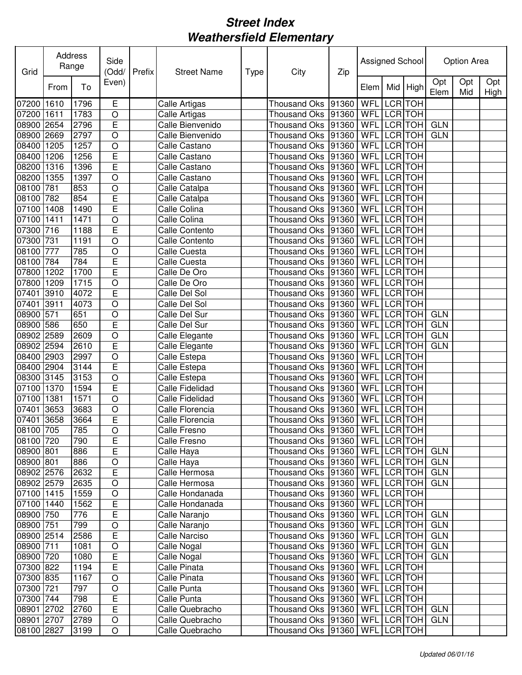| Grid                |              | Address<br>Range | Side<br>(Odd/  | Prefix | <b>Street Name</b>                 | <b>Type</b> | City                                       | Zip   | Assigned School |                          |            |                 | <b>Option Area</b> |             |
|---------------------|--------------|------------------|----------------|--------|------------------------------------|-------------|--------------------------------------------|-------|-----------------|--------------------------|------------|-----------------|--------------------|-------------|
|                     | From         | To               | Even)          |        |                                    |             |                                            |       | Elem            | Mid                      | High       | Opt<br>Elem     | Opt<br>Mid         | Opt<br>High |
| 07200               | 1610         | 1796             | E              |        | <b>Calle Artigas</b>               |             | <b>Thousand Oks</b>                        | 91360 | WFL             | <b>LCR</b>               | <b>TOH</b> |                 |                    |             |
| 07200               | 1611         | 1783             | $\circ$        |        | Calle Artigas                      |             | <b>Thousand Oks</b>                        | 91360 | WFL             |                          | LCR TOH    |                 |                    |             |
| 08900               | 2654         | 2796             | E              |        | Calle Bienvenido                   |             | <b>Thousand Oks</b>                        | 91360 | WFL             | <b>LCR</b>               | <b>TOH</b> | <b>GLN</b>      |                    |             |
| 08900               | 2669         | 2797             | O              |        | Calle Bienvenido                   |             | <b>Thousand Oks</b>                        | 91360 | WFL             | <b>LCR</b>               | <b>TOH</b> | <b>GLN</b>      |                    |             |
| 08400               | 1205         | 1257             | O              |        | Calle Castano                      |             | <b>Thousand Oks</b>                        | 91360 | WFL             | <b>LCR</b>               | <b>TOH</b> |                 |                    |             |
| 08400               | 1206         | 1256             | E              |        | Calle Castano                      |             | <b>Thousand Oks</b>                        | 91360 | WFL             | <b>LCR</b>               | <b>TOH</b> |                 |                    |             |
| 08200               | 1316         | 1396             | E              |        | Calle Castano                      |             | <b>Thousand Oks</b>                        | 91360 | WFL             | <b>LCR</b>               | <b>TOH</b> |                 |                    |             |
| 08200               | 1355         | 1397             | $\overline{O}$ |        | Calle Castano                      |             | <b>Thousand Oks</b>                        | 91360 | WFL             | <b>LCR</b>               | <b>TOH</b> |                 |                    |             |
| 08100               | 781          | 853              | $\circ$        |        | Calle Catalpa                      |             | <b>Thousand Oks</b>                        | 91360 | WFL             | <b>LCR</b>               | <b>TOH</b> |                 |                    |             |
| 08100               | 782          | 854              | E              |        | Calle Catalpa                      |             | <b>Thousand Oks</b>                        | 91360 | WFL             | <b>LCR</b>               | <b>TOH</b> |                 |                    |             |
| 07100               | 1408         | 1490             | E              |        | Calle Colina                       |             | <b>Thousand Oks</b>                        | 91360 | WFL             | <b>LCR</b>               | <b>TOH</b> |                 |                    |             |
| 07100               | 1411         | 1471             | O              |        | Calle Colina                       |             | <b>Thousand Oks</b>                        | 91360 | WFL             | <b>LCR</b>               | <b>TOH</b> |                 |                    |             |
| 07300               | 716          | 1188             | E              |        | <b>Calle Contento</b>              |             | <b>Thousand Oks</b>                        | 91360 | WFL             | <b>LCR</b>               | <b>TOH</b> |                 |                    |             |
| 07300               | 731          | 1191             | O              |        | Calle Contento                     |             | <b>Thousand Oks</b>                        | 91360 | WFL             | <b>LCR</b>               | <b>TOH</b> |                 |                    |             |
| 08100               | 777          | 785              | O              |        | Calle Cuesta                       |             | <b>Thousand Oks</b>                        | 91360 | WFL             | <b>LCR</b>               | <b>TOH</b> |                 |                    |             |
| 08100               | 784          | 784              | Ē              |        | Calle Cuesta                       |             | <b>Thousand Oks</b>                        | 91360 | WFL             | <b>LCR</b>               | <b>TOH</b> |                 |                    |             |
| 07800               | 1202         | 1700             | Ē              |        | Calle De Oro                       |             | <b>Thousand Oks</b>                        | 91360 | WFL             | <b>LCR</b>               | <b>HOT</b> |                 |                    |             |
| 07800               | 1209         | 1715             | $\overline{O}$ |        | Calle De Oro                       |             | <b>Thousand Oks</b>                        | 91360 | WFL             | <b>LCR</b>               | <b>TOH</b> |                 |                    |             |
| 07401               | 3910         | 4072             | Ē              |        | Calle Del Sol                      |             | <b>Thousand Oks</b>                        | 91360 | WFL             | <b>LCR</b>               | <b>TOH</b> |                 |                    |             |
| 07401               | 3911         | 4073             | O              |        | Calle Del Sol                      |             | <b>Thousand Oks</b>                        | 91360 | WFL             | <b>LCR</b>               | <b>TOH</b> |                 |                    |             |
| 08900               | 571          | 651              | O              |        | Calle Del Sur                      |             | <b>Thousand Oks</b>                        | 91360 | WFL             | <b>LCR</b>               | <b>TOH</b> | <b>GLN</b>      |                    |             |
| 08900               | 586          | 650              | Ē              |        | Calle Del Sur                      |             | <b>Thousand Oks</b>                        | 91360 | WFL             | <b>LCR</b>               | <b>TOH</b> | <b>GLN</b>      |                    |             |
| 08902               | 2589         | 2609             | O              |        | Calle Elegante                     |             | <b>Thousand Oks</b>                        | 91360 | WFL             | <b>LCR</b>               | <b>TOH</b> | <b>GLN</b>      |                    |             |
| 08902               | 2594         | 2610             | E              |        | Calle Elegante                     |             | <b>Thousand Oks</b>                        | 91360 | WFL             | <b>LCR</b>               | <b>TOH</b> | <b>GLN</b>      |                    |             |
| 08400 2903          |              | 2997             | O              |        | Calle Estepa                       |             | <b>Thousand Oks</b>                        | 91360 | WFL             | LCR TOH                  |            |                 |                    |             |
| 08400               | 2904         | 3144             | E              |        | Calle Estepa                       |             | <b>Thousand Oks</b>                        | 91360 | WFL             |                          | LCR TOH    |                 |                    |             |
| 08300               | 3145         | 3153             | $\overline{O}$ |        | Calle Estepa                       |             | <b>Thousand Oks</b>                        | 91360 | WFL             | <b>LCR</b>               | <b>TOH</b> |                 |                    |             |
| 07100               | 1370         | 1594             | E              |        | Calle Fidelidad                    |             | <b>Thousand Oks</b>                        | 91360 | WFL             | <b>LCR</b><br><b>LCR</b> | <b>TOH</b> |                 |                    |             |
| 07100               | 1381<br>3653 | 1571             | O              |        | Calle Fidelidad                    |             | <b>Thousand Oks</b>                        | 91360 | WFL<br>WFL      | <b>LCR</b>               | <b>TOH</b> |                 |                    |             |
| 07401<br>07401 3658 |              | 3683<br>3664     | O<br>E         |        | Calle Florencia<br>Calle Florencia |             | <b>Thousand Oks</b><br><b>Thousand Oks</b> | 91360 | WFL             | LCR TOH                  | <b>TOH</b> |                 |                    |             |
| 08100 705           |              | 785              | $\overline{O}$ |        | Calle Fresno                       |             | Thousand Oks 91360 WFL LCR TOH             | 91360 |                 |                          |            |                 |                    |             |
| 08100 720           |              | 790              | E              |        | Calle Fresno                       |             | Thousand Oks   91360                       |       | WFL LCR TOH     |                          |            |                 |                    |             |
| 08900 801           |              | 886              | E              |        | Calle Haya                         |             | Thousand Oks   91360                       |       |                 |                          |            | WFL LCR TOH GLN |                    |             |
| 08900 801           |              | 886              | $\circ$        |        | Calle Haya                         |             | Thousand Oks   91360                       |       |                 |                          |            | WFL LCR TOH GLN |                    |             |
| 08902 2576          |              | 2632             | E              |        | Calle Hermosa                      |             | Thousand Oks 91360                         |       | <b>WFL</b>      |                          | LCR TOH    | <b>GLN</b>      |                    |             |
| 08902 2579          |              | 2635             | $\bigcirc$     |        | Calle Hermosa                      |             | Thousand Oks 91360                         |       | WFL LCR TOH     |                          |            | <b>GLN</b>      |                    |             |
| 07100 1415          |              | 1559             | $\bigcirc$     |        | Calle Hondanada                    |             | Thousand Oks 91360                         |       | WFL LCR TOH     |                          |            |                 |                    |             |
| 07100 1440          |              | 1562             | E              |        | Calle Hondanada                    |             | Thousand Oks   91360                       |       | WFL             |                          | LCR TOH    |                 |                    |             |
| 08900 750           |              | 776              | E              |        | Calle Naranjo                      |             | Thousand Oks   91360                       |       |                 |                          |            | WFL LCR TOH GLN |                    |             |
| 08900 751           |              | 799              | $\bigcirc$     |        | Calle Naranjo                      |             | Thousand Oks   91360                       |       |                 |                          |            | WFL LCR TOH GLN |                    |             |
| 08900 2514          |              | 2586             | E              |        | Calle Narciso                      |             | Thousand Oks                               | 91360 | WFL LCR TOH     |                          |            | <b>GLN</b>      |                    |             |
| 08900 711           |              | 1081             | $\bigcirc$     |        | Calle Nogal                        |             | Thousand Oks                               | 91360 | WFL LCR TOH     |                          |            | <b>GLN</b>      |                    |             |
| 08900 720           |              | 1080             | $\overline{E}$ |        | Calle Nogal                        |             | <b>Thousand Oks</b>                        | 91360 | WFL LCR TOH     |                          |            | <b>GLN</b>      |                    |             |
| 07300 822           |              | 1194             | E              |        | Calle Pinata                       |             | <b>Thousand Oks</b>                        | 91360 | WFL LCR TOH     |                          |            |                 |                    |             |
| 07300 835           |              | 1167             | $\circ$        |        | Calle Pinata                       |             | <b>Thousand Oks</b>                        | 91360 | WFL LCR TOH     |                          |            |                 |                    |             |
| 07300 721           |              | 797              | $\circ$        |        | Calle Punta                        |             | <b>Thousand Oks</b>                        | 91360 | WFL LCR TOH     |                          |            |                 |                    |             |
| 07300 744           |              | 798              | E              |        | Calle Punta                        |             | Thousand Oks   91360                       |       | WFL LCR TOH     |                          |            |                 |                    |             |
| 08901 2702          |              | 2760             | Ē              |        | Calle Quebracho                    |             | Thousand Oks 91360                         |       |                 |                          |            | WFL LCR TOH GLN |                    |             |
| 08901 2707          |              | 2789             | $\circ$        |        | Calle Quebracho                    |             | Thousand Oks   91360                       |       | WFL LCR TOH     |                          |            | <b>GLN</b>      |                    |             |
| 08100 2827          |              | 3199             | $\bigcirc$     |        | Calle Quebracho                    |             | Thousand Oks   91360                       |       | WFL LCR TOH     |                          |            |                 |                    |             |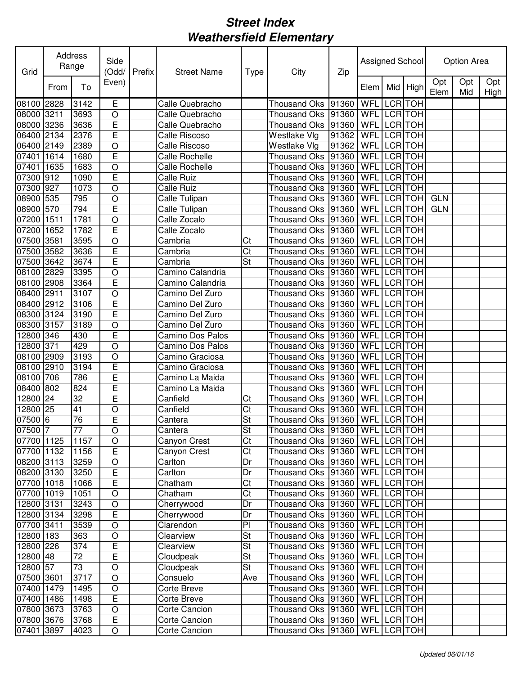| Grid             | Address   | Range     | Side<br>(Odd/  | Prefix | <b>Street Name</b> | <b>Type</b> | City                                                 | Zip            | Assigned School |                          |                          |             | Option Area |             |
|------------------|-----------|-----------|----------------|--------|--------------------|-------------|------------------------------------------------------|----------------|-----------------|--------------------------|--------------------------|-------------|-------------|-------------|
|                  | From      | To        | Even)          |        |                    |             |                                                      |                | Elem            | Mid                      | High                     | Opt<br>Elem | Opt<br>Mid  | Opt<br>High |
| 08100            | 2828      | 3142      | E              |        | Calle Quebracho    |             | <b>Thousand Oks</b>                                  | 91360          | WFL             | LCR                      | <b>TOH</b>               |             |             |             |
| 08000 3211       |           | 3693      | O              |        | Calle Quebracho    |             | <b>Thousand Oks</b>                                  | 91360          | WFL             | <b>LCR</b>               | <b>TOH</b>               |             |             |             |
| 08000            | 3236      | 3636      | E              |        | Calle Quebracho    |             | Thousand Oks                                         | 91360          | WFL             | <b>LCR</b>               | <b>TOH</b>               |             |             |             |
| 06400            | 2134      | 2376      | E              |        | Calle Riscoso      |             | Westlake Vlg                                         | 91362          | WFL             | <b>LCR</b>               | <b>TOH</b>               |             |             |             |
| 06400            | 2149      | 2389      | O              |        | Calle Riscoso      |             | Westlake Vlg                                         | 91362          | WFL             | <b>LCR</b>               | <b>TOH</b>               |             |             |             |
| 07401            | 1614      | 1680      | E              |        | Calle Rochelle     |             | Thousand Oks                                         | 91360          | WFL             | <b>LCR</b>               | <b>TOH</b>               |             |             |             |
| 07401            | 1635      | 1683      | $\circ$        |        | Calle Rochelle     |             | <b>Thousand Oks</b>                                  | 91360          | WFL             | LCR TOH                  |                          |             |             |             |
| 07300            | 912       | 1090      | E              |        | <b>Calle Ruiz</b>  |             | <b>Thousand Oks</b>                                  | 91360          | WFL             | LCR TOH                  |                          |             |             |             |
| 07300            | 927       | 1073      | $\circ$        |        | <b>Calle Ruiz</b>  |             | <b>Thousand Oks</b>                                  | 91360          | WFL             | <b>LCR</b>               | <b>TOH</b>               |             |             |             |
| 08900            | 535       | 795       | $\circ$        |        | Calle Tulipan      |             | <b>Thousand Oks</b>                                  | 91360          | WFL             | <b>LCR</b>               | <b>TOH</b>               | <b>GLN</b>  |             |             |
| 08900            | 570       | 794       | E              |        | Calle Tulipan      |             | <b>Thousand Oks</b>                                  | 91360          | WFL             | <b>LCR</b>               | <b>TOH</b>               | <b>GLN</b>  |             |             |
| 07200            | 1511      | 1781      | O              |        | Calle Zocalo       |             | Thousand Oks                                         | 91360          | WFL             | <b>LCR</b>               | <b>TOH</b>               |             |             |             |
| 07200            | 1652      | 1782      | E              |        | Calle Zocalo       |             | <b>Thousand Oks</b>                                  | 91360          | WFL             | <b>LCR</b>               | <b>TOH</b>               |             |             |             |
| 07500            | 3581      | 3595      | O              |        | Cambria            | Ct          | <b>Thousand Oks</b>                                  | 91360          | WFL             | <b>LCR</b>               | <b>TOH</b>               |             |             |             |
| 07500 3582       |           | 3636      | E              |        | Cambria            | Ct          | <b>Thousand Oks</b>                                  | 91360          | WFL             | <b>LCR</b> TOH           |                          |             |             |             |
| 07500            | 3642      | 3674      | Ē              |        | Cambria            | St          | <b>Thousand Oks</b>                                  | 91360          | WFL             | LCR TOH                  |                          |             |             |             |
| 08100 2829       |           | 3395      | $\circ$        |        | Camino Calandria   |             | <b>Thousand Oks</b>                                  | 91360          | WFL             | <b>LCR</b> TOH           |                          |             |             |             |
| 08100            | 2908      | 3364      | E              |        | Camino Calandria   |             | <b>Thousand Oks</b>                                  | 91360          | WFL             | <b>LCR</b>               | <b>TOH</b>               |             |             |             |
| 08400            | 2911      | 3107      | O              |        | Camino Del Zuro    |             | <b>Thousand Oks</b>                                  | 91360          | WFL             | <b>LCR</b>               | <b>TOH</b>               |             |             |             |
| 08400            | 2912      | 3106      | E              |        | Camino Del Zuro    |             | Thousand Oks                                         | 91360          | WFL             | <b>LCR</b>               | <b>TOH</b>               |             |             |             |
| 08300            | 3124      | 3190      | E              |        | Camino Del Zuro    |             | <b>Thousand Oks</b>                                  | 91360          | WFL             | <b>LCR</b>               | <b>TOH</b>               |             |             |             |
| 08300            | 3157      | 3189      | O              |        | Camino Del Zuro    |             | <b>Thousand Oks</b>                                  | 91360          | WFL             | <b>LCR</b>               | <b>TOH</b>               |             |             |             |
| 12800            | 346       | 430       | E              |        | Camino Dos Palos   |             | <b>Thousand Oks</b>                                  | 91360          | WFL             | <b>LCR</b>               | <b>TOH</b>               |             |             |             |
| 12800            | 371       | 429       | $\circ$        |        | Camino Dos Palos   |             | <b>Thousand Oks</b>                                  | 91360          | WFL             | <b>LCR</b>               | <b>TOH</b>               |             |             |             |
| 08100 2909       |           | 3193      | $\circ$        |        | Camino Graciosa    |             | <b>Thousand Oks</b>                                  | 91360          | WFL             | LCR TOH                  |                          |             |             |             |
| 08100            | 2910      | 3194      | E              |        | Camino Graciosa    |             | <b>Thousand Oks</b>                                  | 91360          | WFL             | <b>LCR</b>               | <b>TOH</b>               |             |             |             |
| 08100            | 706       | 786       | E              |        | Camino La Maida    |             | <b>Thousand Oks</b>                                  | 91360          | WFL             | <b>LCR</b>               | <b>TOH</b>               |             |             |             |
| 08400            | 802<br>24 | 824<br>32 | E              |        | Camino La Maida    |             | <b>Thousand Oks</b>                                  | 91360          | WFL<br>WFL      | <b>LCR</b><br><b>LCR</b> | <b>TOH</b>               |             |             |             |
| 12800            | 25        | 41        | E              |        | Canfield           | Ct<br>Ct    | <b>Thousand Oks</b>                                  | 91360<br>91360 | WFL             | <b>LCR</b>               | <b>TOH</b><br><b>TOH</b> |             |             |             |
| 12800<br>07500 6 |           | 76        | O<br>E         |        | Canfield           | St          | <b>Thousand Oks</b>                                  |                | WFL LCR TOH     |                          |                          |             |             |             |
| 07500 7          |           | 77        | $\overline{O}$ |        | Cantera<br>Cantera | <b>St</b>   | Thousand Oks 91360<br>Thousand Oks 91360 WFL LCR TOH |                |                 |                          |                          |             |             |             |
| 07700 1125       |           | 1157      | $\circ$        |        | Canyon Crest       | Ct          | Thousand Oks  91360   WFL LCR TOH                    |                |                 |                          |                          |             |             |             |
| 07700 1132       |           | 1156      | E              |        | Canyon Crest       | Ct          | Thousand Oks  91360   WFL   LCR TOH                  |                |                 |                          |                          |             |             |             |
| 08200 3113       |           | 3259      | $\circ$        |        | Carlton            | Dr          | Thousand Oks  91360   WFL   LCR   TOH                |                |                 |                          |                          |             |             |             |
| 08200 3130       |           | 3250      | E              |        | Carlton            | Dr          | Thousand Oks 91360                                   |                | WFL LCR TOH     |                          |                          |             |             |             |
| 07700 1018       |           | 1066      | Ē              |        | Chatham            | Ct          | Thousand Oks 91360                                   |                | WFL LCR TOH     |                          |                          |             |             |             |
| 07700 1019       |           | 1051      | $\bigcirc$     |        | Chatham            | Ct          | Thousand Oks 91360                                   |                | WFL LCR TOH     |                          |                          |             |             |             |
| 12800 3131       |           | 3243      | $\bigcirc$     |        | Cherrywood         | Dr          | Thousand Oks 91360                                   |                | WFL LCR TOH     |                          |                          |             |             |             |
| 12800 3134       |           | 3298      | E              |        | Cherrywood         | Dr          | Thousand Oks 91360                                   |                | WFL LCR TOH     |                          |                          |             |             |             |
| 07700 3411       |           | 3539      | $\bigcirc$     |        | Clarendon          | PI          | Thousand Oks 91360                                   |                | WFL LCR TOH     |                          |                          |             |             |             |
| 12800 183        |           | 363       | $\bigcirc$     |        | Clearview          | St          | Thousand Oks                                         | 91360          | WFL LCR TOH     |                          |                          |             |             |             |
| 12800 226        |           | 374       | E              |        | Clearview          | St          | Thousand Oks                                         | 91360          | WFL LCR TOH     |                          |                          |             |             |             |
| 12800 48         |           | 72        | E              |        | Cloudpeak          | St          | Thousand Oks                                         | 91360          | WFL LCR TOH     |                          |                          |             |             |             |
| 12800 57         |           | 73        | $\circ$        |        | Cloudpeak          | St          | Thousand Oks                                         | 91360          | WFL LCR TOH     |                          |                          |             |             |             |
| 07500 3601       |           | 3717      | $\circ$        |        | Consuelo           | Ave         | <b>Thousand Oks</b>                                  | 91360          | WFL LCR TOH     |                          |                          |             |             |             |
| 07400 1479       |           | 1495      | $\circ$        |        | Corte Breve        |             | <b>Thousand Oks</b>                                  | 91360          | WFL LCR TOH     |                          |                          |             |             |             |
| 07400 1486       |           | 1498      | E              |        | Corte Breve        |             | Thousand Oks 91360                                   |                | WFL LCR TOH     |                          |                          |             |             |             |
| 07800 3673       |           | 3763      | $\circ$        |        | Corte Cancion      |             | Thousand Oks 91360                                   |                | WFL LCR TOH     |                          |                          |             |             |             |
| 07800 3676       |           | 3768      | E              |        | Corte Cancion      |             | Thousand Oks 91360                                   |                | WFL LCR TOH     |                          |                          |             |             |             |
| 07401            | 3897      | 4023      | $\bigcirc$     |        | Corte Cancion      |             | Thousand Oks   91360                                 |                | WFL LCR TOH     |                          |                          |             |             |             |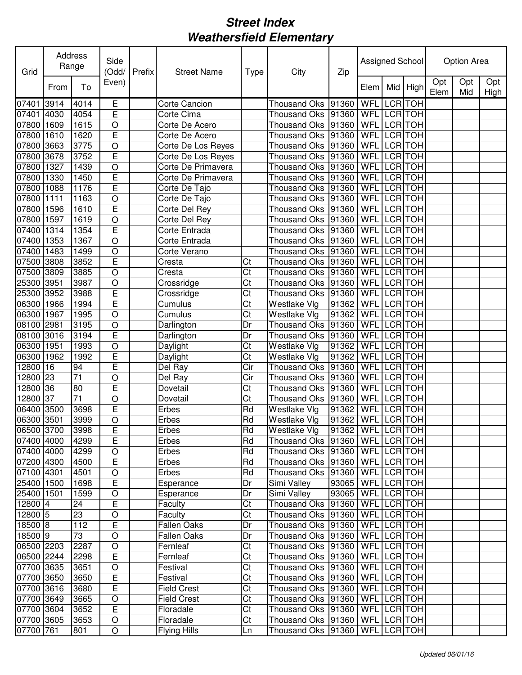| Grid       |      | Address<br>Range | Side<br>(Odd/  | Prefix | <b>Street Name</b>   | <b>Type</b>            | City                                   | Zip                     | Assigned School |                |          |             | Option Area |             |
|------------|------|------------------|----------------|--------|----------------------|------------------------|----------------------------------------|-------------------------|-----------------|----------------|----------|-------------|-------------|-------------|
|            | From | To               | Even)          |        |                      |                        |                                        |                         | Elem            |                | Mid High | Opt<br>Elem | Opt<br>Mid  | Opt<br>High |
| 07401 3914 |      | 4014             | Е              |        | <b>Corte Cancion</b> |                        | <b>Thousand Oks</b>                    | 91360                   | WFL             | LCR TOH        |          |             |             |             |
| 07401 4030 |      | 4054             | E              |        | Corte Cima           |                        | Thousand Oks                           | 91360                   | WFL             | <b>LCR</b> TOH |          |             |             |             |
| 07800      | 1609 | 1615             | $\circ$        |        | Corte De Acero       |                        | Thousand Oks                           | 91360                   | WFL             | LCR TOH        |          |             |             |             |
| 07800      | 1610 | 1620             | E              |        | Corte De Acero       |                        | Thousand Oks                           | 91360                   | WFL             |                | LCR TOH  |             |             |             |
| 07800      | 3663 | 3775             | O              |        | Corte De Los Reyes   |                        | Thousand Oks                           | 91360                   | WFL             |                | LCR TOH  |             |             |             |
| 07800 3678 |      | 3752             | E              |        | Corte De Los Reyes   |                        | <b>Thousand Oks</b>                    | 91360                   | WFL             |                | LCR TOH  |             |             |             |
| 07800 1327 |      | 1439             | O              |        | Corte De Primavera   |                        | Thousand Oks                           | 91360                   | WFL             |                | LCR TOH  |             |             |             |
| 07800 1330 |      | 1450             | E              |        | Corte De Primavera   |                        | Thousand Oks                           | 91360                   | WFL             |                | LCR TOH  |             |             |             |
| 07800 1088 |      | 1176             | Ē              |        | Corte De Tajo        |                        | <b>Thousand Oks</b>                    | 91360                   | WFL             | LCR TOH        |          |             |             |             |
| 07800 1111 |      | 1163             | O              |        | Corte De Tajo        |                        | <b>Thousand Oks</b>                    | 91360                   | WFL             |                | LCR TOH  |             |             |             |
| 07800 1596 |      | 1610             | E              |        | Corte Del Rey        |                        | <b>Thousand Oks</b>                    | 91360                   | WFL             | LCR TOH        |          |             |             |             |
| 07800      | 1597 | 1619             | O              |        | Corte Del Rey        |                        | <b>Thousand Oks</b>                    | 91360                   | WFL             | LCR TOH        |          |             |             |             |
| 07400 1314 |      | 1354             | E              |        | Corte Entrada        |                        | Thousand Oks                           | 91360                   | WFL             | <b>LCR</b> TOH |          |             |             |             |
| 07400 1353 |      | 1367             | O              |        | Corte Entrada        |                        | <b>Thousand Oks</b>                    | 91360                   | WFL             | LCR TOH        |          |             |             |             |
| 07400 1483 |      | 1499             | O              |        | Corte Verano         |                        | Thousand Oks                           | 91360                   | WFL             | LCR TOH        |          |             |             |             |
| 07500 3808 |      | 3852             | E              |        | Cresta               | Ct                     | <b>Thousand Oks</b>                    | 91360                   | <b>WFL</b>      | LCR TOH        |          |             |             |             |
| 07500 3809 |      | 3885             | $\overline{O}$ |        | Cresta               | $\overline{\text{Ct}}$ | <b>Thousand Oks</b>                    | 91360                   | WFL             | LCR TOH        |          |             |             |             |
| 25300 3951 |      | 3987             | O              |        | Crossridge           | Ct                     | <b>Thousand Oks</b>                    | 91360                   | WFL             | LCR TOH        |          |             |             |             |
| 25300      | 3952 | 3988             | E              |        | Crossridge           | Ct                     | <b>Thousand Oks</b>                    | 91360                   | WFL             | LCR TOH        |          |             |             |             |
| 06300      | 1966 | 1994             | E              |        | Cumulus              | Ct                     | Westlake Vlg                           | 91362                   | WFL             | LCR TOH        |          |             |             |             |
| 06300      | 1967 | 1995             | O              |        | Cumulus              | Ct                     | Westlake Vlg                           | 91362                   | WFL             |                | LCR TOH  |             |             |             |
| 08100      | 2981 | 3195             | O              |        | Darlington           | Dr                     | Thousand Oks                           | 91360                   | WFL             |                | LCR TOH  |             |             |             |
| 08100      | 3016 | 3194             | E              |        | Darlington           | Dr                     | <b>Thousand Oks</b>                    | 91360                   | WFL             |                | LCR TOH  |             |             |             |
| 06300      | 1951 | 1993             | O              |        | Daylight             | Ct                     | Westlake VIg                           | 91362                   | WFL             | LCR TOH        |          |             |             |             |
| 06300      | 1962 | 1992             | E              |        | Daylight             | Ct                     | Westlake Vlg                           | 91362                   | WFL             |                | LCR TOH  |             |             |             |
| 12800 16   |      | 94               | E              |        | Del Ray              | Cir                    | <b>Thousand Oks</b>                    | 91360                   | WFL             | LCR TOH        |          |             |             |             |
| 12800      | 23   | 71               | O              |        | Del Ray              | Cir                    | <b>Thousand Oks</b>                    | 91360                   | WFL             | LCR TOH        |          |             |             |             |
| 12800      | 36   | 80               | E              |        | Dovetail             | Ct                     | <b>Thousand Oks</b>                    | 91360                   | WFL             | LCR TOH        |          |             |             |             |
| 12800      | 37   | 71               | O              |        | Dovetail             | Ct                     | <b>Thousand Oks</b>                    | 91360                   | WFL             | LCR TOH        |          |             |             |             |
| 06400      | 3500 | 3698             | E              |        | Erbes                | Rd                     | Westlake Vlg                           | 91362                   | WFL             | LCR TOH        |          |             |             |             |
| 06300 3501 |      | 3999             | O              |        | Erbes                | Rd                     | Westlake Vlg                           | 91362                   | WFL LCR TOH     |                |          |             |             |             |
| 06500 3700 |      | 3998             | E              |        | Erbes                | Rd                     | <b>Westlake Vlg</b>                    | 91362 WFL LCR TOH       |                 |                |          |             |             |             |
| 07400 4000 |      | 4299             | E              |        | Erbes                | Rd                     | Thousand Oks   91360   WFL   LCR   TOH |                         |                 |                |          |             |             |             |
| 07400 4000 |      | 4299             | $\circ$        |        | Erbes                | Rd                     | Thousand Oks   91360   WFL   LCR   TOH |                         |                 |                |          |             |             |             |
| 07200 4300 |      | 4500             | E              |        | Erbes                | Rd                     | Thousand Oks   91360   WFL   LCR   TOH |                         |                 |                |          |             |             |             |
| 07100 4301 |      | 4501             | $\bigcirc$     |        | Erbes                | Rd                     | Thousand Oks  91360   WFL   LCR   TOH  |                         |                 |                |          |             |             |             |
| 25400 1500 |      | 1698             | $\overline{E}$ |        | Esperance            | Dr                     | Simi Valley                            | 93065   WFL   LCR   TOH |                 |                |          |             |             |             |
| 25400 1501 |      | 1599             | $\mathsf O$    |        | Esperance            | Dr                     | Simi Valley                            | 93065   WFL LCR TOH     |                 |                |          |             |             |             |
| 12800 4    |      | 24               | E              |        | Faculty              | Ct                     | Thousand Oks  91360   WFL   LCR   TOH  |                         |                 |                |          |             |             |             |
| 12800 5    |      | 23               | O              |        | Faculty              | Ct                     | Thousand Oks  91360   WFL   LCR   TOH  |                         |                 |                |          |             |             |             |
| 18500 8    |      | 112              | E              |        | <b>Fallen Oaks</b>   | Dr                     | Thousand Oks   91360   WFL   LCR   TOH |                         |                 |                |          |             |             |             |
| 18500 9    |      | 73               | $\bigcirc$     |        | <b>Fallen Oaks</b>   | Dr                     | Thousand Oks   91360   WFL   LCR   TOH |                         |                 |                |          |             |             |             |
| 06500 2203 |      | 2287             | $\bigcirc$     |        | Fernleaf             | Ct                     | Thousand Oks  91360   WFL LCR TOH      |                         |                 |                |          |             |             |             |
| 06500 2244 |      | 2298             | E              |        | Fernleaf             | Ct                     | Thousand Oks  91360   WFL   LCR   TOH  |                         |                 |                |          |             |             |             |
| 07700 3635 |      | 3651             | $\bigcirc$     |        | Festival             | Ct                     | Thousand Oks   91360                   |                         | WFL LCR TOH     |                |          |             |             |             |
| 07700 3650 |      | 3650             | $\overline{E}$ |        | Festival             | Ct                     | Thousand Oks   91360                   |                         | WFL LCR TOH     |                |          |             |             |             |
| 07700 3616 |      | 3680             | $\overline{E}$ |        | <b>Field Crest</b>   | Ct                     | Thousand Oks 91360                     |                         | WFL LCR TOH     |                |          |             |             |             |
| 07700 3649 |      | 3665             | $\circ$        |        | Field Crest          | Ct                     | Thousand Oks  91360   WFL LCR TOH      |                         |                 |                |          |             |             |             |
| 07700 3604 |      | 3652             | E              |        | Floradale            | Ct                     | Thousand Oks  91360   WFL   LCR TOH    |                         |                 |                |          |             |             |             |
| 07700 3605 |      | 3653             | $\bigcirc$     |        | Floradale            | Ct                     | Thousand Oks  91360   WFL   LCR   TOH  |                         |                 |                |          |             |             |             |
| 07700 761  |      | 801              | $\circ$        |        | <b>Flying Hills</b>  | Ln                     | Thousand Oks   91360   WFL   LCR   TOH |                         |                 |                |          |             |             |             |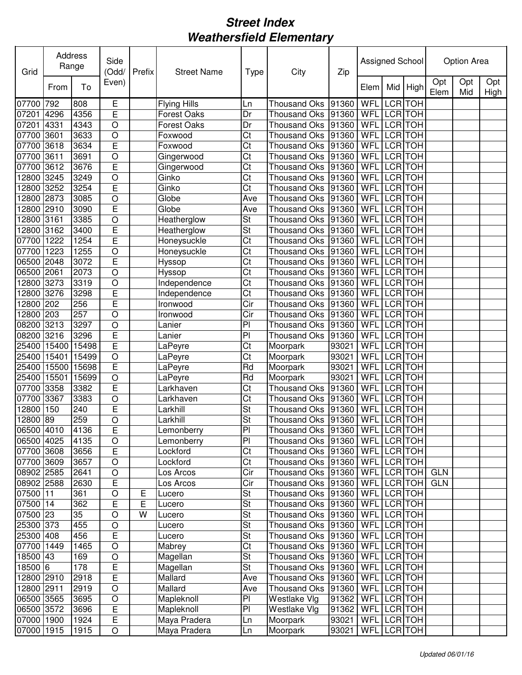| Grid       |       | Address<br>Range | Side<br>(Odd/           | Prefix | <b>Street Name</b>  | <b>Type</b>            | City                                  | Zip   | Assigned School |                |                |             | Option Area |             |
|------------|-------|------------------|-------------------------|--------|---------------------|------------------------|---------------------------------------|-------|-----------------|----------------|----------------|-------------|-------------|-------------|
|            | From  | To               | Even)                   |        |                     |                        |                                       |       | Elem            | Mid            | High           | Opt<br>Elem | Opt<br>Mid  | Opt<br>High |
| 07700      | 792   | 808              | E                       |        | <b>Flying Hills</b> | Ln                     | <b>Thousand Oks</b>                   | 91360 | WFL             |                | LCR TOH        |             |             |             |
| 07201      | 4296  | 4356             | E                       |        | <b>Forest Oaks</b>  | Dr                     | <b>Thousand Oks</b>                   | 91360 | WFL             | LCR TOH        |                |             |             |             |
| 07201      | 4331  | 4343             | O                       |        | Forest Oaks         | Dr                     | <b>Thousand Oks</b>                   | 91360 | WFL             | <b>LCR</b>     | <b>TOH</b>     |             |             |             |
| 07700      | 3601  | 3633             | O                       |        | Foxwood             | Ct                     | Thousand Oks                          | 91360 | WFL             | <b>LCR</b>     | <b>TOH</b>     |             |             |             |
| 07700      | 3618  | 3634             | E                       |        | Foxwood             | Ct                     | <b>Thousand Oks</b>                   | 91360 | WFL             | <b>LCR</b>     | <b>TOH</b>     |             |             |             |
| 07700      | 3611  | 3691             | O                       |        | Gingerwood          | Ct                     | <b>Thousand Oks</b>                   | 91360 | WFL             | <b>LCR</b>     | <b>TOH</b>     |             |             |             |
| 07700      | 3612  | 3676             | E                       |        | Gingerwood          | Ct                     | <b>Thousand Oks</b>                   | 91360 | WFL             |                | LCR TOH        |             |             |             |
| 12800 3245 |       | 3249             | O                       |        | Ginko               | Ct                     | <b>Thousand Oks</b>                   | 91360 | WFL             |                | LCR TOH        |             |             |             |
| 2800 3252  |       | 3254             | E                       |        | Ginko               | Ct                     | <b>Thousand Oks</b>                   | 91360 | WFL             |                | LCR TOH        |             |             |             |
| 12800 2873 |       | 3085             | O                       |        | Globe               | Ave                    | <b>Thousand Oks</b>                   | 91360 | WFL             | <b>LCR</b>     | <b>TOH</b>     |             |             |             |
| 12800 2910 |       | 3090             | E                       |        | Globe               | Ave                    | <b>Thousand Oks</b>                   | 91360 | WFL             |                | LCR TOH        |             |             |             |
| 2800 3161  |       | 3385             | O                       |        | Heatherglow         | St                     | <b>Thousand Oks</b>                   | 91360 | WFL             | LCR            | <b>TOH</b>     |             |             |             |
| 12800 3162 |       | 3400             | E                       |        | Heatherglow         | St                     | <b>Thousand Oks</b>                   | 91360 | WFL             | LCR            | <b>TOH</b>     |             |             |             |
| 07700 1222 |       | 1254             | Ē                       |        | Honeysuckle         | Ct                     | <b>Thousand Oks</b>                   | 91360 | WFL             | LCR TOH        |                |             |             |             |
| 07700      | 1223  | 1255             | $\circ$                 |        | Honeysuckle         | Ct                     | <b>Thousand Oks</b>                   | 91360 | WFL             | LCR TOH        |                |             |             |             |
| 06500 2048 |       | 3072             | Ē                       |        | Hyssop              | $\overline{\text{Ct}}$ | <b>Thousand Oks</b>                   | 91360 | WFL             | LCR TOH        |                |             |             |             |
| 06500      | 2061  | 2073             | $\overline{O}$          |        | Hyssop              | $\overline{\text{Ct}}$ | <b>Thousand Oks</b>                   | 91360 | WFL             | <b>LCR</b> TOH |                |             |             |             |
| 12800      | 3273  | 3319             | O                       |        | Independence        | Ct                     | <b>Thousand Oks</b>                   | 91360 | WFL             | <b>LCR</b>     | <b>TOH</b>     |             |             |             |
| 12800      | 3276  | 3298             | E                       |        | Independence        | Ct                     | <b>Thousand Oks</b>                   | 91360 | WFL             | <b>LCR</b>     | <b>TOH</b>     |             |             |             |
| 12800      | 202   | 256              | Ē                       |        | Ironwood            | Cir                    | <b>Thousand Oks</b>                   | 91360 | WFL             | <b>LCR</b>     | <b>TOH</b>     |             |             |             |
| 12800      | 203   | 257              | O                       |        | Ironwood            | Cir                    | <b>Thousand Oks</b>                   | 91360 | WFL             |                | <b>LCR</b> TOH |             |             |             |
| 08200      | 3213  | 3297             | O                       |        | Lanier              | PI                     | <b>Thousand Oks</b>                   | 91360 | WFL             | <b>LCR</b>     | <b>TOH</b>     |             |             |             |
| 08200      | 3216  | 3296             | E                       |        | Lanier              | PI                     | <b>Thousand Oks</b>                   | 91360 | WFL             |                | LCR TOH        |             |             |             |
| 25400      | 15400 | 15498            | $\overline{\mathsf{E}}$ |        | LaPeyre             | Ct                     | Moorpark                              | 93021 | WFL             | LCR TOH        |                |             |             |             |
| 25400      | 15401 | 15499            | $\overline{O}$          |        | LaPeyre             | Ct                     | Moorpark                              | 93021 | WFL             | <b>LCR</b>     | <b>TOH</b>     |             |             |             |
| 25400      | 15500 | 15698            | E                       |        | LaPeyre             | Rd                     | Moorpark                              | 93021 | WFL             | LCR TOH        |                |             |             |             |
| 25400      | 15501 | 15699            | $\overline{O}$          |        | LaPeyre             | Rd                     | Moorpark                              | 93021 | WFL             | <b>LCR</b>     | <b>TOH</b>     |             |             |             |
| 07700      | 3358  | 3382             | E                       |        | Larkhaven           | Ct                     | <b>Thousand Oks</b>                   | 91360 | WFL             | <b>LCR</b>     | <b>TOH</b>     |             |             |             |
| 07700      | 3367  | 3383             | O                       |        | Larkhaven           | Ct                     | <b>Thousand Oks</b>                   | 91360 | WFL             | LCR TOH        |                |             |             |             |
| 12800      | 150   | 240              | E                       |        | Larkhill            | St                     | <b>Thousand Oks</b>                   | 91360 | WFL             | LCR            | <b>TOH</b>     |             |             |             |
| 12800 89   |       | 259              | $\circ$                 |        | Larkhill            | St                     | Thousand Oks 91360                    |       | WFL             | LCR TOH        |                |             |             |             |
| 06500 4010 |       | 4136             | $\overline{\mathsf{E}}$ |        | Lemonberry          | P                      | Thousand Oks 91360 WFL LCR TOH        |       |                 |                |                |             |             |             |
| 06500 4025 |       | 4135             | $\circ$                 |        | Lemonberry          | PI                     | Thousand Oks  91360   WFL   LCR   TOH |       |                 |                |                |             |             |             |
| 07700 3608 |       | 3656             | E                       |        | Lockford            | Ct                     | Thousand Oks  91360   WFL   LCR   TOH |       |                 |                |                |             |             |             |
| 07700 3609 |       | 3657             | $\circ$                 |        | Lockford            | Ct                     | Thousand Oks 91360                    |       | WFL LCR TOH     |                |                |             |             |             |
| 08902 2585 |       | 2641             | $\circ$                 |        | Los Arcos           | Cir                    | Thousand Oks 91360                    |       | WFL LCR TOH     |                |                | <b>GLN</b>  |             |             |
| 08902 2588 |       | 2630             | E                       |        | Los Arcos           | Cir                    | Thousand Oks 91360                    |       | WFL LCR TOH     |                |                | <b>GLN</b>  |             |             |
| 07500 11   |       | 361              | O                       | Е      | Lucero              | St                     | Thousand Oks 91360                    |       | WFL LCR TOH     |                |                |             |             |             |
| 07500 14   |       | 362              | E                       | E      | Lucero              | St                     | Thousand Oks 91360                    |       | WFL LCR TOH     |                |                |             |             |             |
| 07500 23   |       | 35               | $\circ$                 | W      | Lucero              | St                     | Thousand Oks 91360                    |       | WFL LCR TOH     |                |                |             |             |             |
| 25300 373  |       | 455              | $\circ$                 |        | Lucero              | St                     | Thousand Oks   91360                  |       | WFL LCR TOH     |                |                |             |             |             |
| 25300 408  |       | 456              | E                       |        | Lucero              | St                     | Thousand Oks   91360                  |       | WFL LCR TOH     |                |                |             |             |             |
| 07700 1449 |       | 1465             | $\circ$                 |        | Mabrey              | Ct                     | <b>Thousand Oks</b>                   | 91360 | WFL LCR TOH     |                |                |             |             |             |
| 18500 43   |       | 169              | $\circ$                 |        | Magellan            | St                     | Thousand Oks                          | 91360 | WFL LCR TOH     |                |                |             |             |             |
| 18500 6    |       | 178              | $\overline{E}$          |        | Magellan            | St                     | <b>Thousand Oks</b>                   | 91360 | WFL LCR TOH     |                |                |             |             |             |
| 12800 2910 |       | 2918             | E                       |        | Mallard             | Ave                    | <b>Thousand Oks</b>                   | 91360 | WFL LCR TOH     |                |                |             |             |             |
| 12800 2911 |       | 2919             | $\circ$                 |        | Mallard             | Ave                    | <b>Thousand Oks</b>                   | 91360 | WFL LCR TOH     |                |                |             |             |             |
| 06500 3565 |       | 3695             | $\circ$                 |        | Mapleknoll          | P                      | Westlake Vlg                          | 91362 | WFL LCR TOH     |                |                |             |             |             |
| 06500 3572 |       | 3696             | E                       |        | Mapleknoll          | $\overline{P}$         | Westlake Vlg                          | 91362 | WFL LCR TOH     |                |                |             |             |             |
| 07000 1900 |       | 1924             | E                       |        | Maya Pradera        | Ln                     | Moorpark                              | 93021 | WFL LCR TOH     |                |                |             |             |             |
| 07000 1915 |       | 1915             | $\circ$                 |        | Maya Pradera        | Ln                     | Moorpark                              | 93021 | WFL LCR TOH     |                |                |             |             |             |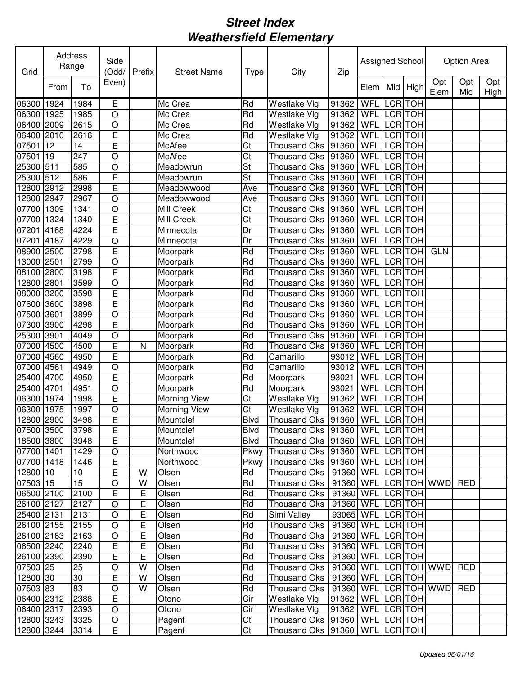| Grid       |      | Address<br>Range | Side<br>(Odd/  | Prefix       | <b>Street Name</b>  | <b>Type</b> | City                                   | Zip                   | Assigned School |                |                |                 | Option Area |             |
|------------|------|------------------|----------------|--------------|---------------------|-------------|----------------------------------------|-----------------------|-----------------|----------------|----------------|-----------------|-------------|-------------|
|            | From | To               | Even)          |              |                     |             |                                        |                       | Elem            | Mid            | High           | Opt<br>Elem     | Opt<br>Mid  | Opt<br>High |
| 06300      | 1924 | 1984             | E              |              | Mc Crea             | Rd          | Westlake Vlg                           | 91362                 | WFL             |                | LCR TOH        |                 |             |             |
| 06300      | 1925 | 1985             | O              |              | Mc Crea             | Rd          | Westlake Vlg                           | 91362                 | WFL             |                | LCR TOH        |                 |             |             |
| 06400      | 2009 | 2615             | O              |              | Mc Crea             | Rd          | Westlake Vlg                           | 91362                 | WFL             | LCR            | <b>TOH</b>     |                 |             |             |
| 06400      | 2010 | 2616             | E              |              | Mc Crea             | Rd          | Westlake Vlg                           | 91362                 | WFL             | <b>LCR</b>     | <b>TOH</b>     |                 |             |             |
| 07501      | 12   | 14               | E              |              | McAfee              | Ct          | <b>Thousand Oks</b>                    | 91360                 | WFL             |                | LCR TOH        |                 |             |             |
| 07501      | 19   | 247              | O              |              | McAfee              | Ct          | <b>Thousand Oks</b>                    | 91360                 | WFL             |                | LCR TOH        |                 |             |             |
| 25300 511  |      | 585              | O              |              | Meadowrun           | St          | <b>Thousand Oks</b>                    | 91360                 | WFL             |                | LCR TOH        |                 |             |             |
| 25300 512  |      | 586              | E              |              | Meadowrun           | St          | <b>Thousand Oks</b>                    | 91360                 | WFL             |                | LCR TOH        |                 |             |             |
| 12800 2912 |      | 2998             | E              |              | Meadowwood          | Ave         | <b>Thousand Oks</b>                    | 91360                 | WFL             | <b>LCR</b>     | <b>TOH</b>     |                 |             |             |
| 12800 2947 |      | 2967             | O              |              | Meadowwood          | Ave         | <b>Thousand Oks</b>                    | 91360                 | WFL             |                | LCR TOH        |                 |             |             |
| 07700 1309 |      | 1341             | O              |              | Mill Creek          | Ct          | <b>Thousand Oks</b>                    | 91360                 | WFL             |                | LCR TOH        |                 |             |             |
| 07700      | 1324 | 1340             | E              |              | Mill Creek          | Ct          | <b>Thousand Oks</b>                    | 91360                 | WFL             |                | LCR TOH        |                 |             |             |
| 07201      | 4168 | 4224             | Ē              |              | Minnecota           | Dr          | Thousand Oks                           | 91360                 | WFL             |                | LCR TOH        |                 |             |             |
| 07201      | 4187 | 4229             | $\overline{O}$ |              | Minnecota           | Dr          | <b>Thousand Oks</b>                    | 91360                 | WFL             | LCR TOH        |                |                 |             |             |
| 08900 2500 |      | 2798             | Ē              |              | Moorpark            | Rd          | <b>Thousand Oks</b>                    | 91360                 | WFL             | LCR TOH        |                | <b>GLN</b>      |             |             |
| 13000 2501 |      | 2799             | $\overline{O}$ |              | Moorpark            | Rd          | <b>Thousand Oks</b>                    | 91360                 | WFL             | <b>LCR</b> TOH |                |                 |             |             |
| 08100      | 2800 | 3198             | E              |              | Moorpark            | Rd          | <b>Thousand Oks</b>                    | 91360                 | WFL             | <b>LCR</b>     | <b>TOH</b>     |                 |             |             |
| 12800      | 2801 | 3599             | O              |              | Moorpark            | Rd          | <b>Thousand Oks</b>                    | 91360                 | WFL             |                | LCR TOH        |                 |             |             |
| 08000      | 3200 | 3598             | E              |              | Moorpark            | Rd          | <b>Thousand Oks</b>                    | 91360                 | WFL             | <b>LCR</b>     | <b>TOH</b>     |                 |             |             |
| 07600      | 3600 | 3898             | Ē              |              | Moorpark            | Rd          | <b>Thousand Oks</b>                    | 91360                 | WFL             | <b>LCR</b>     | <b>TOH</b>     |                 |             |             |
| 07500      | 3601 | 3899             | O              |              | Moorpark            | Rd          | <b>Thousand Oks</b>                    | 91360                 | WFL             | <b>LCR</b>     | <b>TOH</b>     |                 |             |             |
| 07300      | 3900 | 4298             | E              |              | Moorpark            | Rd          | Thousand Oks                           | 91360                 | WFL             | LCR            | <b>TOH</b>     |                 |             |             |
| 25300      | 3901 | 4049             | O              |              | Moorpark            | Rd          | <b>Thousand Oks</b>                    | 91360                 | WFL             |                | LCR TOH        |                 |             |             |
| 07000      | 4500 | 4500             | E              | $\mathsf{N}$ | Moorpark            | Rd          | <b>Thousand Oks</b>                    | 91360                 | WFL             |                | LCR TOH        |                 |             |             |
| 07000      | 4560 | 4950             | E              |              | Moorpark            | Rd          | Camarillo                              | 93012                 | WFL             |                | LCR TOH        |                 |             |             |
| 07000      | 4561 | 4949             | $\circ$        |              | Moorpark            | Rd          | Camarillo                              | 93012                 | WFL             | LCR TOH        |                |                 |             |             |
| 25400      | 4700 | 4950             | E              |              | Moorpark            | Rd          | Moorpark                               | 93021                 | WFL             | <b>LCR</b>     | <b>TOH</b>     |                 |             |             |
| 25400      | 4701 | 4951             | O              |              | Moorpark            | Rd          | Moorpark                               | 93021                 | WFL             |                | <b>LCR</b> TOH |                 |             |             |
| 06300      | 1974 | 1998             | E              |              | Morning View        | Ct          | Westlake Vlg                           | 91362                 | WFL             |                | LCR TOH        |                 |             |             |
| 06300      | 1975 | 1997             | O              |              | <b>Morning View</b> | Ct          | Westlake Vlg                           | 91362                 | WFL             | LCR TOH        |                |                 |             |             |
| 12800 2900 |      | 3498             | E              |              | Mountclef           | <b>Blvd</b> | Thousand Oks 91360                     |                       | WFL LCR TOH     |                |                |                 |             |             |
| 07500 3500 |      | 3798             | E              |              | Mountclef           | <b>Blvd</b> | Thousand Oks 91360 WFL LCR TOH         |                       |                 |                |                |                 |             |             |
| 18500 3800 |      | 3948             | E              |              | Mountclef           | <b>Blvd</b> | Thousand Oks   91360   WFL   LCR   TOH |                       |                 |                |                |                 |             |             |
| 07700 1401 |      | 1429             | $\circ$        |              | Northwood           | Pkwy        | Thousand Oks   91360                   |                       | WFL LCR TOH     |                |                |                 |             |             |
| 07700 1418 |      | 1446             | E              |              | Northwood           | Pkwy        | Thousand Oks   91360                   |                       | WFL LCR TOH     |                |                |                 |             |             |
| 12800 10   |      | 10               | Ē              | w            | Olsen               | Rd          | <b>Thousand Oks</b>                    | 91360                 | WFL LCR TOH     |                |                |                 |             |             |
| 07503 15   |      | 15               | O              | W            | Olsen               | Rd          | <b>Thousand Oks</b>                    | 91360                 |                 |                |                | WFL LCR TOH WWD | <b>RED</b>  |             |
| 06500 2100 |      | 2100             | E              | Ε            | Olsen               | Rd          | <b>Thousand Oks</b>                    | 91360 WFL             |                 |                | <b>LCR TOH</b> |                 |             |             |
| 26100 2127 |      | 2127             | O              | Е            | Olsen               | Rd          | <b>Thousand Oks</b>                    | 91360 WFL LCR TOH     |                 |                |                |                 |             |             |
| 25400 2131 |      | 2131             | $\circ$        | E            | Olsen               | Rd          | Simi Valley                            | 93065 WFL LCR TOH     |                 |                |                |                 |             |             |
| 26100 2155 |      | 2155             | $\circ$        | Ε            | Olsen               | Rd          | <b>Thousand Oks</b>                    | 91360 WFL LCR TOH     |                 |                |                |                 |             |             |
| 26100 2163 |      | 2163             | $\circ$        | Е            | Olsen               | Rd          | <b>Thousand Oks</b>                    | 91360 WFL LCR TOH     |                 |                |                |                 |             |             |
| 06500 2240 |      | 2240             | Ε              | Е            | Olsen               | Rd          | <b>Thousand Oks</b>                    | 91360                 | WFL LCR TOH     |                |                |                 |             |             |
| 26100 2390 |      | 2390             | E              | E            | Olsen               | Rd          | <b>Thousand Oks</b>                    | 91360                 | WFL LCR TOH     |                |                |                 |             |             |
| 07503 25   |      | 25               | O              | W            | Olsen               | Rd          | <b>Thousand Oks</b>                    | 91360                 |                 |                |                | WFL LCR TOH WWD | <b>RED</b>  |             |
| 12800 30   |      | 30               | E              | W            | Olsen               | Rd          | <b>Thousand Oks</b>                    | 91360                 | WFL LCR TOH     |                |                |                 |             |             |
| $07503$ 83 |      | 83               | $\circ$        | W            | Olsen               | Rd          | <b>Thousand Oks</b>                    | 91360 WFL LCR TOH WWD |                 |                |                |                 | <b>RED</b>  |             |
| 06400 2312 |      | 2388             | E              |              | Otono               | Cir         | Westlake Vlg                           | 91362                 | WFL LCR TOH     |                |                |                 |             |             |
| 06400 2317 |      | 2393             | $\circ$        |              | Otono               | Cir         | Westlake Vlg                           | 91362                 | WFL LCR TOH     |                |                |                 |             |             |
| 12800 3243 |      | 3325             | $\circ$        |              | Pagent              | Ct          | <b>Thousand Oks</b>                    | 91360                 | WFL LCR TOH     |                |                |                 |             |             |
| 12800 3244 |      | 3314             | E              |              |                     | Ct          | Thousand Oks 91360                     |                       | WFL LCR TOH     |                |                |                 |             |             |
|            |      |                  |                |              | Pagent              |             |                                        |                       |                 |                |                |                 |             |             |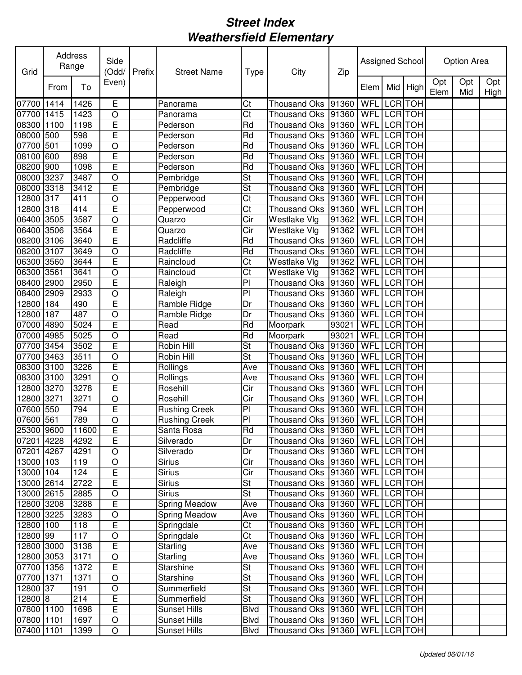| Grid       | Address | Range | Side<br>(Odd/           | Prefix | <b>Street Name</b>   | <b>Type</b>              | City                              | Zip   | Assigned School |                |            |             | Option Area |             |
|------------|---------|-------|-------------------------|--------|----------------------|--------------------------|-----------------------------------|-------|-----------------|----------------|------------|-------------|-------------|-------------|
|            | From    | To    | Even)                   |        |                      |                          |                                   |       | Elem            | Mid            | High       | Opt<br>Elem | Opt<br>Mid  | Opt<br>High |
| 07700      | 1414    | 1426  | E                       |        | Panorama             | Ct                       | <b>Thousand Oks</b>               | 91360 | WFL             | <b>LCR</b>     | <b>TOH</b> |             |             |             |
| 07700      | 1415    | 1423  | O                       |        | Panorama             | Ct                       | <b>Thousand Oks</b>               | 91360 | WFL             | <b>LCR</b>     | <b>TOH</b> |             |             |             |
| 08300      | 1100    | 1198  | E                       |        | Pederson             | Rd                       | <b>Thousand Oks</b>               | 91360 | WFL             | <b>LCR</b>     | <b>TOH</b> |             |             |             |
| 08000      | 500     | 598   | E                       |        | Pederson             | Rd                       | <b>Thousand Oks</b>               | 91360 | WFL             | <b>LCR</b>     | <b>TOH</b> |             |             |             |
| 07700      | 501     | 1099  | O                       |        | Pederson             | Rd                       | <b>Thousand Oks</b>               | 91360 | WFL             | <b>LCR</b>     | <b>TOH</b> |             |             |             |
| 08100      | 600     | 898   | E                       |        | Pederson             | Rd                       | <b>Thousand Oks</b>               | 91360 | WFL             | <b>LCR</b>     | <b>TOH</b> |             |             |             |
| 08200      | 900     | 1098  | E                       |        | Pederson             | Rd                       | <b>Thousand Oks</b>               | 91360 | WFL             | LCR TOH        |            |             |             |             |
| 08000      | 3237    | 3487  | O                       |        | Pembridge            | St                       | <b>Thousand Oks</b>               | 91360 | <b>WFL</b>      | <b>LCR</b>     | <b>TOH</b> |             |             |             |
| 08000      | 3318    | 3412  | E                       |        | Pembridge            | St                       | <b>Thousand Oks</b>               | 91360 | WFL             | <b>LCR</b>     | <b>TOH</b> |             |             |             |
| 12800      | 317     | 411   | O                       |        | Pepperwood           | Ct                       | <b>Thousand Oks</b>               | 91360 | WFL             | <b>LCR</b>     | <b>TOH</b> |             |             |             |
| 12800      | 318     | 414   | E                       |        | Pepperwood           | Ct                       | <b>Thousand Oks</b>               | 91360 | WFL             | <b>LCR</b>     | <b>TOH</b> |             |             |             |
| 06400      | 3505    | 3587  | O                       |        | Quarzo               | Cir                      | Westlake Vlg                      | 91362 | WFL             | <b>LCR</b>     | <b>TOH</b> |             |             |             |
| 06400      | 3506    | 3564  | E                       |        | Quarzo               | Cir                      | Westlake Vlg                      | 91362 | WFL             | <b>LCR</b>     | <b>TOH</b> |             |             |             |
| 08200      | 3106    | 3640  | Ē                       |        | Radcliffe            | Rd                       | <b>Thousand Oks</b>               | 91360 | WFL             | <b>LCR</b>     | <b>TOH</b> |             |             |             |
| 08200      | 3107    | 3649  | O                       |        | Radcliffe            | Rd                       | <b>Thousand Oks</b>               | 91360 | WFL             | <b>LCR</b>     | <b>TOH</b> |             |             |             |
| 06300      | 3560    | 3644  | Ē                       |        | Raincloud            | Ct                       | Westlake Vlg                      | 91362 | WFL             | <b>LCR</b>     | <b>TOH</b> |             |             |             |
| 06300      | 3561    | 3641  | $\circ$                 |        | Raincloud            | $\overline{\text{Ct}}$   | Westlake Vlg                      | 91362 | WFL             | <b>LCR</b> TOH |            |             |             |             |
| 08400      | 2900    | 2950  | E                       |        | Raleigh              | $\overline{P}$           | <b>Thousand Oks</b>               | 91360 | WFL             | <b>LCR</b>     | <b>TOH</b> |             |             |             |
| 08400      | 2909    | 2933  | O                       |        | Raleigh              | $\overline{P}$           | <b>Thousand Oks</b>               | 91360 | WFL             | <b>LCR</b>     | <b>TOH</b> |             |             |             |
| 12800      | 184     | 490   | Ē                       |        | Ramble Ridge         | Dr                       | <b>Thousand Oks</b>               | 91360 | WFL             | <b>LCR</b>     | <b>TOH</b> |             |             |             |
| 12800      | 187     | 487   | O                       |        | Ramble Ridge         | Dr                       | <b>Thousand Oks</b>               | 91360 | WFL             | <b>LCR</b>     | <b>TOH</b> |             |             |             |
| 07000      | 4890    | 5024  | E                       |        | Read                 | Rd                       | Moorpark                          | 93021 | WFL             | <b>LCR</b>     | <b>TOH</b> |             |             |             |
| 07000      | 4985    | 5025  | O                       |        | Read                 | Rd                       | Moorpark                          | 93021 | WFL             | <b>LCR</b>     | <b>TOH</b> |             |             |             |
| 07700      | 3454    | 3502  | E                       |        | Robin Hill           | $\overline{\mathsf{St}}$ | <b>Thousand Oks</b>               | 91360 | WFL             | <b>LCR</b>     | <b>TOH</b> |             |             |             |
| 07700      | 3463    | 3511  | $\circ$                 |        | Robin Hill           | St                       | <b>Thousand Oks</b>               | 91360 | WFL             | LCR TOH        |            |             |             |             |
| 08300      | 3100    | 3226  | E                       |        | Rollings             | Ave                      | <b>Thousand Oks</b>               | 91360 | WFL             | <b>LCR</b>     | <b>TOH</b> |             |             |             |
| 08300      | 3100    | 3291  | $\circ$                 |        | Rollings             | Ave                      | <b>Thousand Oks</b>               | 91360 | WFL             | <b>LCR</b>     | <b>TOH</b> |             |             |             |
| 12800      | 3270    | 3278  | E                       |        | Rosehill             | Cir                      | <b>Thousand Oks</b>               | 91360 | WFL             | <b>LCR</b>     | <b>TOH</b> |             |             |             |
| 12800      | 3271    | 3271  | O                       |        | Rosehill             | Cir                      | <b>Thousand Oks</b>               | 91360 | WFL             | <b>LCR</b>     | <b>TOH</b> |             |             |             |
| 07600      | 550     | 794   | E                       |        | <b>Rushing Creek</b> | PI                       | <b>Thousand Oks</b>               | 91360 | WFL             | <b>LCR</b>     | <b>TOH</b> |             |             |             |
| 07600 561  |         | 789   | $\circ$                 |        | <b>Rushing Creek</b> | PI                       | Thousand Oks 91360                |       | WFL LCR TOH     |                |            |             |             |             |
| 25300 9600 |         | 11600 | $\overline{\mathsf{E}}$ |        | Santa Rosa           | Rd                       | Thousand Oks 91360 WFL LCR TOH    |       |                 |                |            |             |             |             |
| 07201 4228 |         | 4292  | E                       |        | Silverado            | Dr                       | Thousand Oks  91360   WFL LCR TOH |       |                 |                |            |             |             |             |
| 07201 4267 |         | 4291  | $\bigcirc$              |        | Silverado            | Dr                       | Thousand Oks 91360                |       | WFL LCR TOH     |                |            |             |             |             |
| 13000 103  |         | 119   | $\bigcirc$              |        | <b>Sirius</b>        | Cir                      | Thousand Oks 91360                |       | WFL LCR TOH     |                |            |             |             |             |
| 13000 104  |         | 124   | E                       |        | <b>Sirius</b>        | Cir                      | Thousand Oks 91360                |       | WFL LCR TOH     |                |            |             |             |             |
| 13000 2614 |         | 2722  | E                       |        | <b>Sirius</b>        | St                       | Thousand Oks 91360                |       | WFL             | LCR TOH        |            |             |             |             |
| 13000 2615 |         | 2885  | $\bigcirc$              |        | <b>Sirius</b>        | St                       | <b>Thousand Oks</b>               | 91360 | WFL             | LCR TOH        |            |             |             |             |
| 12800 3208 |         | 3288  | E                       |        | <b>Spring Meadow</b> | Ave                      | Thousand Oks                      | 91360 | WFL             | LCR TOH        |            |             |             |             |
| 12800 3225 |         | 3283  | $\bigcirc$              |        | Spring Meadow        | Ave                      | <b>Thousand Oks</b>               | 91360 | WFL LCR TOH     |                |            |             |             |             |
| 12800 100  |         | 118   | E                       |        | Springdale           | Ct                       | Thousand Oks                      | 91360 | WFL LCR TOH     |                |            |             |             |             |
| 12800 99   |         | 117   | $\bigcirc$              |        | Springdale           | Ct                       | <b>Thousand Oks</b>               | 91360 | WFL LCR TOH     |                |            |             |             |             |
| 12800 3000 |         | 3138  | E                       |        | Starling             | Ave                      | <b>Thousand Oks</b>               | 91360 | WFL LCR TOH     |                |            |             |             |             |
| 12800 3053 |         | 3171  | $\bigcirc$              |        | <b>Starling</b>      | Ave                      | <b>Thousand Oks</b>               | 91360 | WFL LCR TOH     |                |            |             |             |             |
| 07700      | 1356    | 1372  | E                       |        | Starshine            | St                       | <b>Thousand Oks</b>               | 91360 | WFL LCR TOH     |                |            |             |             |             |
| 07700      | 1371    | 1371  | $\circ$                 |        | <b>Starshine</b>     | <b>St</b>                | <b>Thousand Oks</b>               | 91360 | WFL LCR TOH     |                |            |             |             |             |
| 12800 37   |         | 191   | $\circ$                 |        | Summerfield          | $\overline{\mathsf{St}}$ | <b>Thousand Oks</b>               | 91360 | WFL LCR TOH     |                |            |             |             |             |
| 12800 8    |         | 214   | E                       |        | Summerfield          | <b>St</b>                | Thousand Oks                      | 91360 | WFL LCR TOH     |                |            |             |             |             |
| 07800 1100 |         | 1698  | Ē                       |        | <b>Sunset Hills</b>  | <b>Blvd</b>              | Thousand Oks                      | 91360 | WFL LCR TOH     |                |            |             |             |             |
| 07800 1101 |         | 1697  | $\bigcirc$              |        | Sunset Hills         | <b>Blvd</b>              | Thousand Oks   91360              |       | WFL LCR TOH     |                |            |             |             |             |
| 07400 1101 |         | 1399  | $\bigcirc$              |        | Sunset Hills         | <b>Blvd</b>              | Thousand Oks 91360                |       | WFL LCR TOH     |                |            |             |             |             |
|            |         |       |                         |        |                      |                          |                                   |       |                 |                |            |             |             |             |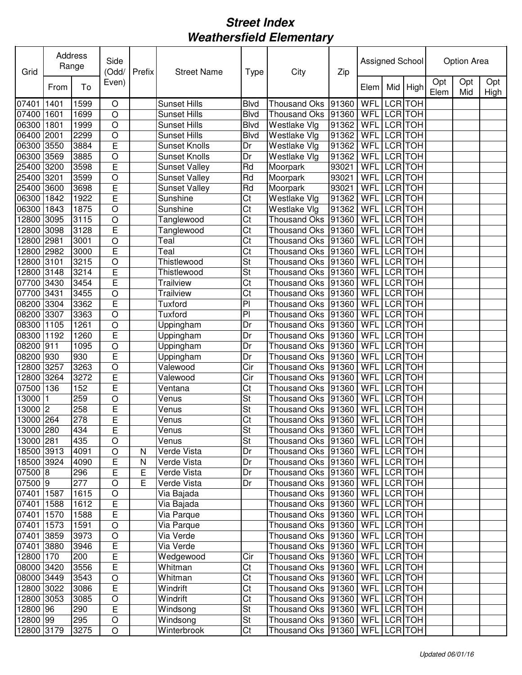| Grid       |      | Address<br>Range | Side<br>(Odd/           | Prefix       | <b>Street Name</b>   | <b>Type</b>              | City                                         | Zip   | Assigned School |                |                |             | Option Area |             |
|------------|------|------------------|-------------------------|--------------|----------------------|--------------------------|----------------------------------------------|-------|-----------------|----------------|----------------|-------------|-------------|-------------|
|            | From | To               | Even)                   |              |                      |                          |                                              |       | Elem            | Mid            | High           | Opt<br>Elem | Opt<br>Mid  | Opt<br>High |
| 07401      | 1401 | 1599             | $\circ$                 |              | Sunset Hills         | <b>Blvd</b>              | <b>Thousand Oks</b>                          | 91360 | WFL             |                | LCR TOH        |             |             |             |
| 07400      | 1601 | 1699             | O                       |              | <b>Sunset Hills</b>  | <b>Blvd</b>              | <b>Thousand Oks</b>                          | 91360 | WFL             | LCR TOH        |                |             |             |             |
| 06300      | 1801 | 1999             | $\circ$                 |              | <b>Sunset Hills</b>  | <b>Blvd</b>              | Westlake Vlg                                 | 91362 | WFL             | <b>LCR</b>     | <b>TOH</b>     |             |             |             |
| 06400      | 2001 | 2299             | O                       |              | <b>Sunset Hills</b>  | <b>Blvd</b>              | Westlake Vlg                                 | 91362 | WFL             | <b>LCR</b>     | <b>TOH</b>     |             |             |             |
| 06300      | 3550 | 3884             | E                       |              | <b>Sunset Knolls</b> | Dr                       | Westlake Vlg                                 | 91362 | WFL             | <b>LCR</b>     | <b>TOH</b>     |             |             |             |
| 06300      | 3569 | 3885             | O                       |              | <b>Sunset Knolls</b> | Dr                       | Westlake Vlg                                 | 91362 | WFL             | LCR            | <b>TOH</b>     |             |             |             |
| 25400 3200 |      | 3598             | E                       |              | <b>Sunset Valley</b> | Rd                       | Moorpark                                     | 93021 | WFL             | LCR TOH        |                |             |             |             |
| 25400 3201 |      | 3599             | O                       |              | <b>Sunset Valley</b> | Rd                       | Moorpark                                     | 93021 | WFL             | LCR TOH        |                |             |             |             |
| 25400 3600 |      | 3698             | E                       |              | <b>Sunset Valley</b> | Rd                       | Moorpark                                     | 93021 | WFL             |                | LCR TOH        |             |             |             |
| 06300      | 1842 | 1922             | E                       |              | Sunshine             | Ct                       | Westlake Vlg                                 | 91362 | WFL             | LCR            | <b>TOH</b>     |             |             |             |
| 06300      | 1843 | 1875             | O                       |              | Sunshine             | Ct                       | Westlake Vlg                                 | 91362 | WFL             | LCR TOH        |                |             |             |             |
| 12800      | 3095 | 3115             | O                       |              | Tanglewood           | Ct                       | <b>Thousand Oks</b>                          | 91360 | WFL             | LCR TOH        |                |             |             |             |
| 2800 3098  |      | 3128             | E                       |              | Tanglewood           | Ct                       | <b>Thousand Oks</b>                          | 91360 | WFL             | LCR TOH        |                |             |             |             |
| 2800 2981  |      | 3001             | O                       |              | Teal                 | Ct                       | <b>Thousand Oks</b>                          | 91360 | WFL             | LCR TOH        |                |             |             |             |
| 12800 2982 |      | 3000             | E                       |              | Teal                 | Ct                       | <b>Thousand Oks</b>                          | 91360 | WFL             | LCR TOH        |                |             |             |             |
| 12800 3101 |      | 3215             | O                       |              | Thistlewood          | $\overline{\mathsf{St}}$ | <b>Thousand Oks</b>                          | 91360 | WFL             | LCR TOH        |                |             |             |             |
| 12800 3148 |      | 3214             | E                       |              | Thistlewood          | $\overline{\mathsf{St}}$ | <b>Thousand Oks</b>                          | 91360 | WFL             | <b>LCR</b> TOH |                |             |             |             |
| 07700      | 3430 | 3454             | Ē                       |              | <b>Trailview</b>     | Ct                       | <b>Thousand Oks</b>                          | 91360 | WFL             | <b>LCR</b>     | <b>TOH</b>     |             |             |             |
| 07700      | 3431 | 3455             | $\overline{O}$          |              | <b>Trailview</b>     | Ct                       | <b>Thousand Oks</b>                          | 91360 | WFL             | <b>LCR TOH</b> |                |             |             |             |
| 08200      | 3304 | 3362             | E                       |              | Tuxford              | $\overline{P}$           | <b>Thousand Oks</b>                          | 91360 | WFL             | <b>LCR</b>     | <b>TOH</b>     |             |             |             |
| 08200      | 3307 | 3363             | O                       |              | Tuxford              | $\overline{P}$           | <b>Thousand Oks</b>                          | 91360 | WFL             |                | <b>LCR</b> TOH |             |             |             |
| 08300      | 1105 | 1261             | O                       |              | Uppingham            | Dr                       | <b>Thousand Oks</b>                          | 91360 | WFL             | <b>LCR</b>     | <b>TOH</b>     |             |             |             |
| 08300      | 1192 | 1260             | Ē                       |              | Uppingham            | Dr                       | <b>Thousand Oks</b>                          | 91360 | WFL             |                | LCR TOH        |             |             |             |
| 08200      | 911  | 1095             | O                       |              | Uppingham            | Dr                       | <b>Thousand Oks</b>                          | 91360 | WFL             | LCR TOH        |                |             |             |             |
| 08200      | 930  | 930              | E                       |              | Uppingham            | Dr                       | <b>Thousand Oks</b>                          | 91360 | WFL             | <b>LCR</b>     | <b>TOH</b>     |             |             |             |
| 12800      | 3257 | 3263             | O                       |              | Valewood             | Cir                      | <b>Thousand Oks</b>                          | 91360 | WFL             | LCR TOH        |                |             |             |             |
| 12800      | 3264 | 3272             | E                       |              | Valewood             | Cir                      | <b>Thousand Oks</b>                          | 91360 | WFL             | <b>LCR</b>     | <b>TOH</b>     |             |             |             |
| 07500      | 136  | 152              | E                       |              | Ventana              | Ct                       | <b>Thousand Oks</b>                          | 91360 | WFL             | <b>LCR</b>     | <b>TOH</b>     |             |             |             |
| 13000      |      | 259              | O                       |              | Venus                | St                       | <b>Thousand Oks</b>                          | 91360 | WFL             | LCR TOH        |                |             |             |             |
| 13000      | 2    | 258              | E                       |              | Venus                | St                       | <b>Thousand Oks</b>                          | 91360 | WFL             | LCR TOH        |                |             |             |             |
| 13000 264  |      | 278              | E                       |              | Venus                | Ct                       | Thousand Oks 91360                           |       | WFL             | <b>LCR</b> TOH |                |             |             |             |
| 13000 280  |      | 434              | E                       |              | Venus                | $\overline{\mathsf{St}}$ | Thousand Oks 91360 WFL LCR TOH               |       |                 |                |                |             |             |             |
| 13000 281  |      | 435              | $\circ$                 |              | Venus                | St                       | Thousand Oks  91360   WFL   LCR   TOH        |       |                 |                |                |             |             |             |
| 18500 3913 |      | 4091             | $\bigcirc$              | N            | Verde Vista          | Dr                       | Thousand Oks  91360   WFL   LCR TOH          |       |                 |                |                |             |             |             |
| 18500 3924 |      | 4090             | E                       | $\mathsf{N}$ | Verde Vista          | Dr                       | Thousand Oks  91360   WFL   LCR TOH          |       |                 |                |                |             |             |             |
| 07500 8    |      | 296              | E                       | Е            | Verde Vista          | Dr                       | Thousand Oks  91360   WFL   LCR   TOH        |       |                 |                |                |             |             |             |
| 07500 9    |      | 277              | $\circ$                 | E            | Verde Vista          | Dr                       | Thousand Oks  91360   WFL   LCR TOH          |       |                 |                |                |             |             |             |
| 07401 1587 |      | 1615             | $\circ$                 |              | Via Bajada           |                          | Thousand Oks 91360                           |       | WFL LCR TOH     |                |                |             |             |             |
| 07401 1588 |      | 1612             | $\overline{\mathsf{E}}$ |              | Via Bajada           |                          | Thousand Oks  91360   WFL   LCR   TOH        |       |                 |                |                |             |             |             |
| 07401 1570 |      | 1588             | $\overline{E}$          |              | Via Parque           |                          | Thousand Oks  91360   WFL   LCR   TOH        |       |                 |                |                |             |             |             |
| 07401 1573 |      | 1591             | O                       |              | Via Parque           |                          | Thousand Oks  91360   WFL   LCR   TOH        |       |                 |                |                |             |             |             |
| 07401 3859 |      | 3973             | $\bigcirc$              |              | Via Verde            |                          | Thousand Oks 91360                           |       | WFL LCR TOH     |                |                |             |             |             |
| 07401 3880 |      | 3946             |                         |              | Via Verde            |                          |                                              |       | WFL LCR TOH     |                |                |             |             |             |
| 12800 170  |      | 200              | E<br>E                  |              | Wedgewood            | Cir                      | Thousand Oks   91360  <br>Thousand Oks 91360 |       | WFL LCR TOH     |                |                |             |             |             |
| 08000 3420 |      |                  | E                       |              | Whitman              | Ct                       | Thousand Oks 91360                           |       | WFL LCR TOH     |                |                |             |             |             |
|            |      | 3556             |                         |              |                      |                          |                                              |       |                 |                |                |             |             |             |
| 08000 3449 |      | 3543             | $\circ$                 |              | Whitman              | Ct                       | Thousand Oks 91360                           |       | WFL LCR TOH     |                |                |             |             |             |
| 12800 3022 |      | 3086             | E                       |              | Windrift             | Ct                       | Thousand Oks 91360                           |       | WFL LCR TOH     |                |                |             |             |             |
| 12800 3053 |      | 3085             | $\bigcirc$              |              | Windrift             | Ct                       | Thousand Oks   91360                         |       | WFL LCR TOH     |                |                |             |             |             |
| 12800 96   |      | 290              | E                       |              | Windsong             | St                       | Thousand Oks   91360                         |       | WFL LCR TOH     |                |                |             |             |             |
| 12800 99   |      | 295              | $\bigcirc$              |              | Windsong             | St                       | Thousand Oks 91360                           |       | WFL LCR TOH     |                |                |             |             |             |
| 12800 3179 |      | 3275             | $\bigcirc$              |              | Winterbrook          | Ct                       | Thousand Oks   91360                         |       | WFL LCR TOH     |                |                |             |             |             |